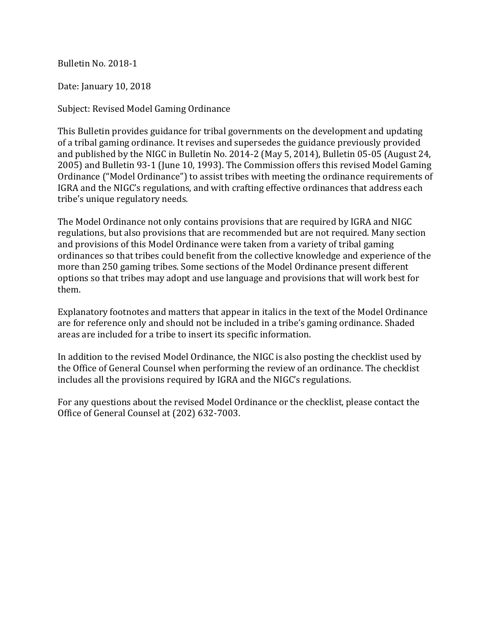Bulletin No. 2018-1

Date: January 10, 2018

Subject: Revised Model Gaming Ordinance

This Bulletin provides guidance for tribal governments on the development and updating of a tribal gaming ordinance. It revises and supersedes the guidance previously provided and published by the NIGC in Bulletin No. 2014-2 (May 5, 2014), Bulletin 05-05 (August 24, 2005) and Bulletin 93-1 (June 10, 1993). The Commission offers this revised Model Gaming Ordinance ("Model Ordinance") to assist tribes with meeting the ordinance requirements of IGRA and the NIGC's regulations, and with crafting effective ordinances that address each tribe's unique regulatory needs.

The Model Ordinance not only contains provisions that are required by IGRA and NIGC regulations, but also provisions that are recommended but are not required. Many section and provisions of this Model Ordinance were taken from a variety of tribal gaming ordinances so that tribes could benefit from the collective knowledge and experience of the more than 250 gaming tribes. Some sections of the Model Ordinance present different options so that tribes may adopt and use language and provisions that will work best for them.

Explanatory footnotes and matters that appear in italics in the text of the Model Ordinance are for reference only and should not be included in a tribe's gaming ordinance. Shaded areas are included for a tribe to insert its specific information.

In addition to the revised Model Ordinance, the NIGC is also posting the checklist used by the Office of General Counsel when performing the review of an ordinance. The checklist includes all the provisions required by IGRA and the NIGC's regulations.

For any questions about the revised Model Ordinance or the checklist, please contact the Office of General Counsel at (202) 632-7003.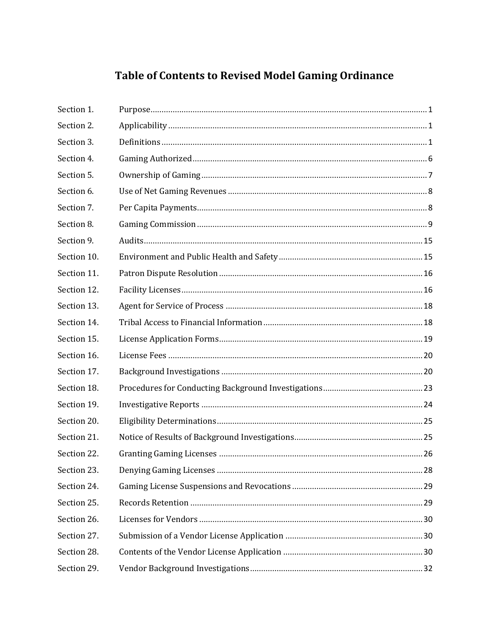# Table of Contents to Revised Model Gaming Ordinance

| Section 1.  |  |
|-------------|--|
| Section 2.  |  |
| Section 3.  |  |
| Section 4.  |  |
| Section 5.  |  |
| Section 6.  |  |
| Section 7.  |  |
| Section 8.  |  |
| Section 9.  |  |
| Section 10. |  |
| Section 11. |  |
| Section 12. |  |
| Section 13. |  |
| Section 14. |  |
| Section 15. |  |
| Section 16. |  |
| Section 17. |  |
| Section 18. |  |
| Section 19. |  |
| Section 20. |  |
| Section 21. |  |
| Section 22. |  |
| Section 23. |  |
| Section 24. |  |
| Section 25. |  |
| Section 26. |  |
| Section 27. |  |
| Section 28. |  |
| Section 29. |  |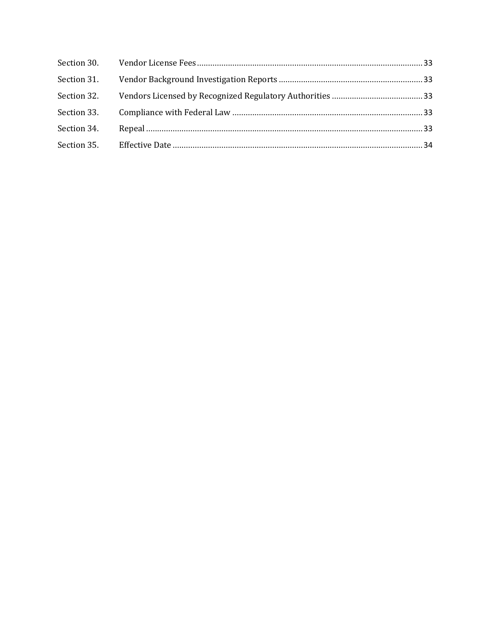| Section 31. |  |
|-------------|--|
| Section 32. |  |
|             |  |
| Section 34. |  |
|             |  |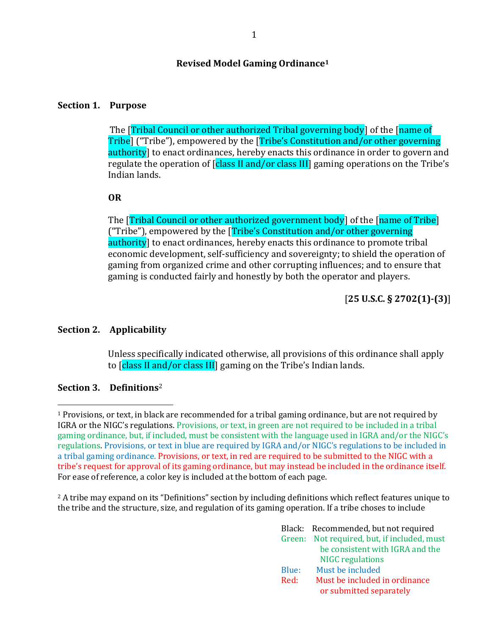#### **Revised Model Gaming Ordinance<sup>1</sup>**

#### <span id="page-3-0"></span>**Section 1. Purpose**

The [Tribal Council or other authorized Tribal governing body] of the [name of Tribe] ("Tribe"), empowered by the [Tribe's Constitution and/or other governing authority] to enact ordinances, hereby enacts this ordinance in order to govern and regulate the operation of **[class II and/or class III]** gaming operations on the Tribe's Indian lands.

#### **OR**

The [Tribal Council or other authorized government body] of the [name of Tribe] ("Tribe"), empowered by the [Tribe's Constitution and/or other governing authority] to enact ordinances, hereby enacts this ordinance to promote tribal economic development, self-sufficiency and sovereignty; to shield the operation of gaming from organized crime and other corrupting influences; and to ensure that gaming is conducted fairly and honestly by both the operator and players.

### [**25 U.S.C. § 2702(1)-(3)**]

#### <span id="page-3-1"></span>**Section 2. Applicability**

Unless specifically indicated otherwise, all provisions of this ordinance shall apply to *[class II and/or class III]* gaming on the Tribe's Indian lands.

#### <span id="page-3-2"></span>**Section 3. Definitions**<sup>2</sup>

 $\overline{\phantom{a}}$ 

<sup>2</sup> A tribe may expand on its "Definitions" section by including definitions which reflect features unique to the tribe and the structure, size, and regulation of its gaming operation. If a tribe choses to include

|       | Black: Recommended, but not required        |
|-------|---------------------------------------------|
|       | Green: Not required, but, if included, must |
|       | be consistent with IGRA and the             |
|       | <b>NIGC</b> regulations                     |
| Blue: | Must be included                            |
| Red:  | Must be included in ordinance               |
|       | or submitted separately                     |

<sup>1</sup> Provisions, or text, in black are recommended for a tribal gaming ordinance, but are not required by IGRA or the NIGC's regulations. Provisions, or text, in green are not required to be included in a tribal gaming ordinance, but, if included, must be consistent with the language used in IGRA and/or the NIGC's regulations. Provisions, or text in blue are required by IGRA and/or NIGC's regulations to be included in a tribal gaming ordinance. Provisions, or text, in red are required to be submitted to the NIGC with a tribe's request for approval of its gaming ordinance, but may instead be included in the ordinance itself. For ease of reference, a color key is included at the bottom of each page.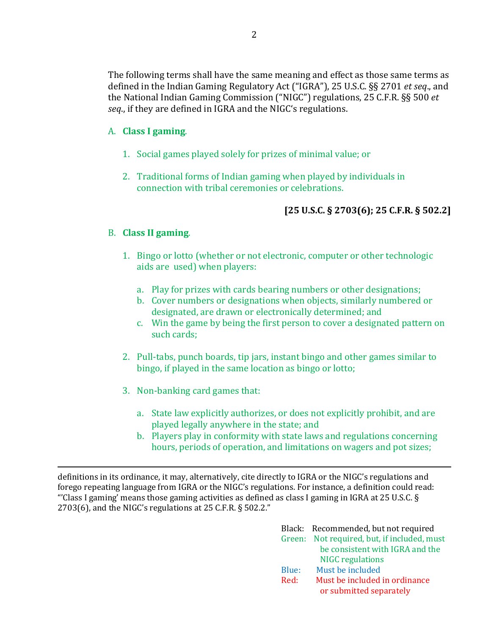The following terms shall have the same meaning and effect as those same terms as defined in the Indian Gaming Regulatory Act ("IGRA"), 25 U.S.C. §§ 2701 *et seq*., and the National Indian Gaming Commission ("NIGC") regulations, 25 C.F.R. §§ 500 *et seq*., if they are defined in IGRA and the NIGC's regulations.

### A. **Class I gaming**.

- 1. Social games played solely for prizes of minimal value; or
- 2. Traditional forms of Indian gaming when played by individuals in connection with tribal ceremonies or celebrations.

# **[25 U.S.C. § 2703(6); 25 C.F.R. § 502.2]**

### B. **Class II gaming**.

 $\overline{\phantom{a}}$ 

- 1. Bingo or lotto (whether or not electronic, computer or other technologic aids are used) when players:
	- a. Play for prizes with cards bearing numbers or other designations;
	- b. Cover numbers or designations when objects, similarly numbered or designated, are drawn or electronically determined; and
	- c. Win the game by being the first person to cover a designated pattern on such cards;
- 2. Pull-tabs, punch boards, tip jars, instant bingo and other games similar to bingo, if played in the same location as bingo or lotto;
- 3. Non-banking card games that:
	- a. State law explicitly authorizes, or does not explicitly prohibit, and are played legally anywhere in the state; and
	- b. Players play in conformity with state laws and regulations concerning hours, periods of operation, and limitations on wagers and pot sizes;

definitions in its ordinance, it may, alternatively, cite directly to IGRA or the NIGC's regulations and forego repeating language from IGRA or the NIGC's regulations. For instance, a definition could read: "'Class I gaming' means those gaming activities as defined as class I gaming in IGRA at 25 U.S.C. § 2703(6), and the NIGC's regulations at 25 C.F.R. § 502.2."

|       | Black: Recommended, but not required        |
|-------|---------------------------------------------|
|       | Green: Not required, but, if included, must |
|       | be consistent with IGRA and the             |
|       | <b>NIGC</b> regulations                     |
| Blue: | Must be included                            |
| Red:  | Must be included in ordinance               |
|       | or submitted separately                     |
|       |                                             |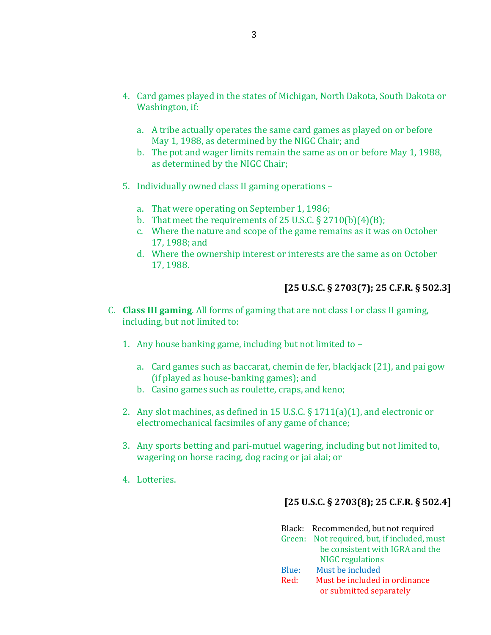- 4. Card games played in the states of Michigan, North Dakota, South Dakota or Washington, if:
	- a. A tribe actually operates the same card games as played on or before May 1, 1988, as determined by the NIGC Chair; and
	- b. The pot and wager limits remain the same as on or before May 1, 1988, as determined by the NIGC Chair;
- 5. Individually owned class II gaming operations
	- a. That were operating on September 1, 1986;
	- b. That meet the requirements of 25 U.S.C.  $\S 2710(b)(4)(B)$ ;
	- c. Where the nature and scope of the game remains as it was on October 17, 1988; and
	- d. Where the ownership interest or interests are the same as on October 17, 1988.

### **[25 U.S.C. § 2703(7); 25 C.F.R. § 502.3]**

- C. **Class III gaming**. All forms of gaming that are not class I or class II gaming, including, but not limited to:
	- 1. Any house banking game, including but not limited to
		- a. Card games such as baccarat, chemin de fer, blackjack (21), and pai gow (if played as house-banking games); and
		- b. Casino games such as roulette, craps, and keno;
	- 2. Any slot machines, as defined in 15 U.S.C. § 1711(a)(1), and electronic or electromechanical facsimiles of any game of chance;
	- 3. Any sports betting and pari-mutuel wagering, including but not limited to, wagering on horse racing, dog racing or jai alai; or
	- 4. Lotteries.

### **[25 U.S.C. § 2703(8); 25 C.F.R. § 502.4]**

|       | Black: Recommended, but not required        |
|-------|---------------------------------------------|
|       | Green: Not required, but, if included, must |
|       | be consistent with IGRA and the             |
|       | <b>NIGC</b> regulations                     |
| Blue: | Must be included                            |
| Red:  | Must be included in ordinance               |
|       | or submitted separately                     |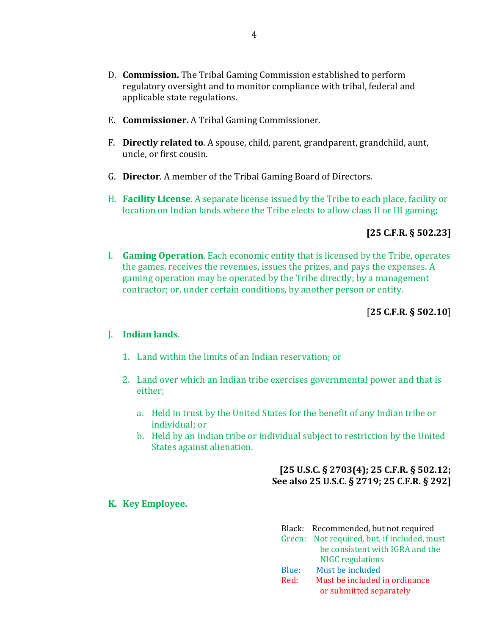- D. **Commission.** The Tribal Gaming Commission established to perform regulatory oversight and to monitor compliance with tribal, federal and applicable state regulations.
- E. **Commissioner.** A Tribal Gaming Commissioner.
- F. **Directly related to**. A spouse, child, parent, grandparent, grandchild, aunt, uncle, or first cousin.
- G. **Director**. A member of the Tribal Gaming Board of Directors.
- H. **Facility License**. A separate license issued by the Tribe to each place, facility or location on Indian lands where the Tribe elects to allow class II or III gaming;

### **[25 C.F.R. § 502.23]**

I. **Gaming Operation**. Each economic entity that is licensed by the Tribe, operates the games, receives the revenues, issues the prizes, and pays the expenses. A gaming operation may be operated by the Tribe directly; by a management contractor; or, under certain conditions, by another person or entity.

[**25 C.F.R. § 502.10**]

### J. **Indian lands**.

- 1. Land within the limits of an Indian reservation; or
- 2. Land over which an Indian tribe exercises governmental power and that is either;
	- a. Held in trust by the United States for the benefit of any Indian tribe or individual; or
	- b. Held by an Indian tribe or individual subject to restriction by the United States against alienation.

### **[25 U.S.C. § 2703(4); 25 C.F.R. § 502.12; See also 25 U.S.C. § 2719; 25 C.F.R. § 292]**

### **K. Key Employee.**

|       | Black: Recommended, but not required        |
|-------|---------------------------------------------|
|       | Green: Not required, but, if included, must |
|       | be consistent with IGRA and the             |
|       | <b>NIGC</b> regulations                     |
| Blue: | Must be included                            |
| Red:  | Must be included in ordinance               |
|       | or submitted separately                     |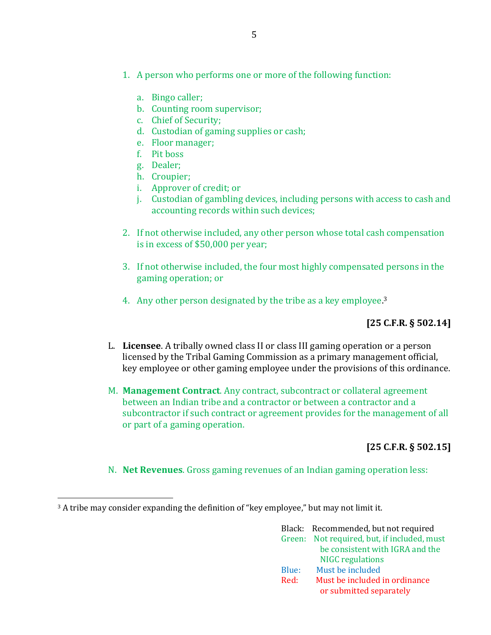- 1. A person who performs one or more of the following function:
	- a. Bingo caller;
	- b. Counting room supervisor;
	- c. Chief of Security;
	- d. Custodian of gaming supplies or cash;
	- e. Floor manager;
	- f. Pit boss
	- g. Dealer;
	- h. Croupier;
	- i. Approver of credit; or
	- j. Custodian of gambling devices, including persons with access to cash and accounting records within such devices;
- 2. If not otherwise included, any other person whose total cash compensation is in excess of \$50,000 per year;
- 3. If not otherwise included, the four most highly compensated persons in the gaming operation; or
- 4. Any other person designated by the tribe as a key employee.<sup>3</sup>

# **[25 C.F.R. § 502.14]**

- L. **Licensee**. A tribally owned class II or class III gaming operation or a person licensed by the Tribal Gaming Commission as a primary management official, key employee or other gaming employee under the provisions of this ordinance.
- M. **Management Contract**. Any contract, subcontract or collateral agreement between an Indian tribe and a contractor or between a contractor and a subcontractor if such contract or agreement provides for the management of all or part of a gaming operation.

### **[25 C.F.R. § 502.15]**

N. **Net Revenues**. Gross gaming revenues of an Indian gaming operation less:

<sup>3</sup> A tribe may consider expanding the definition of "key employee," but may not limit it.

 $\overline{a}$ 

|       | Black: Recommended, but not required        |
|-------|---------------------------------------------|
|       | Green: Not required, but, if included, must |
|       | be consistent with IGRA and the             |
|       | <b>NIGC</b> regulations                     |
| Blue: | Must be included                            |
| Red:  | Must be included in ordinance               |
|       | or submitted separately                     |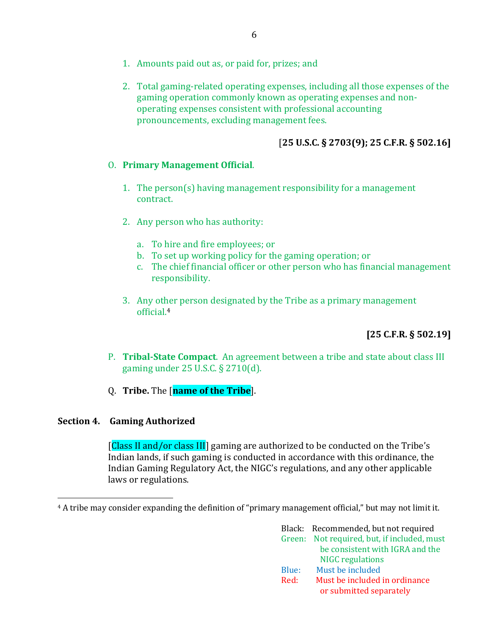- 1. Amounts paid out as, or paid for, prizes; and
- 2. Total gaming-related operating expenses, including all those expenses of the gaming operation commonly known as operating expenses and nonoperating expenses consistent with professional accounting pronouncements, excluding management fees.

### [**25 U.S.C. § 2703(9); 25 C.F.R. § 502.16]**

### O. **Primary Management Official**.

- 1. The person(s) having management responsibility for a management contract.
- 2. Any person who has authority:
	- a. To hire and fire employees; or
	- b. To set up working policy for the gaming operation; or
	- c. The chief financial officer or other person who has financial management responsibility.
- 3. Any other person designated by the Tribe as a primary management official.<sup>4</sup>

**[25 C.F.R. § 502.19]**

- P. **Tribal-State Compact**. An agreement between a tribe and state about class III gaming under 25 U.S.C. § 2710(d).
- Q. **Tribe.** The [**name of the Tribe**].

### <span id="page-8-0"></span>**Section 4. Gaming Authorized**

 $\overline{a}$ 

[Class II and/or class III] gaming are authorized to be conducted on the Tribe's Indian lands, if such gaming is conducted in accordance with this ordinance, the Indian Gaming Regulatory Act, the NIGC's regulations, and any other applicable laws or regulations.

<sup>4</sup> A tribe may consider expanding the definition of "primary management official," but may not limit it.

|       | Black: Recommended, but not required        |
|-------|---------------------------------------------|
|       | Green: Not required, but, if included, must |
|       | be consistent with IGRA and the             |
|       | <b>NIGC</b> regulations                     |
| Blue: | Must be included                            |
| Red:  | Must be included in ordinance               |
|       | or submitted separately                     |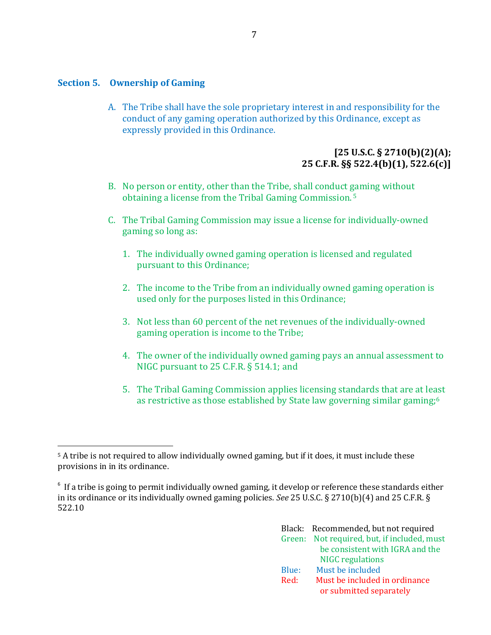### <span id="page-9-0"></span>**Section 5. Ownership of Gaming**

 $\overline{\phantom{a}}$ 

A. The Tribe shall have the sole proprietary interest in and responsibility for the conduct of any gaming operation authorized by this Ordinance, except as expressly provided in this Ordinance.

### **[25 U.S.C. § 2710(b)(2)(A); 25 C.F.R. §§ 522.4(b)(1), 522.6(c)]**

- B. No person or entity, other than the Tribe, shall conduct gaming without obtaining a license from the Tribal Gaming Commission. <sup>5</sup>
- C. The Tribal Gaming Commission may issue a license for individually-owned gaming so long as:
	- 1. The individually owned gaming operation is licensed and regulated pursuant to this Ordinance;
	- 2. The income to the Tribe from an individually owned gaming operation is used only for the purposes listed in this Ordinance;
	- 3. Not less than 60 percent of the net revenues of the individually-owned gaming operation is income to the Tribe;
	- 4. The owner of the individually owned gaming pays an annual assessment to NIGC pursuant to 25 C.F.R. § 514.1; and
	- 5. The Tribal Gaming Commission applies licensing standards that are at least as restrictive as those established by State law governing similar gaming; 6

<sup>&</sup>lt;sup>6</sup> If a tribe is going to permit individually owned gaming, it develop or reference these standards either in its ordinance or its individually owned gaming policies. *See* 25 U.S.C. § 2710(b)(4) and 25 C.F.R. § 522.10

| Black: Recommended, but not required        |
|---------------------------------------------|
| Green: Not required, but, if included, must |
| be consistent with IGRA and the             |
| <b>NIGC</b> regulations                     |
| Must be included                            |
| Must be included in ordinance               |
| or submitted separately                     |
|                                             |

<sup>5</sup> A tribe is not required to allow individually owned gaming, but if it does, it must include these provisions in in its ordinance.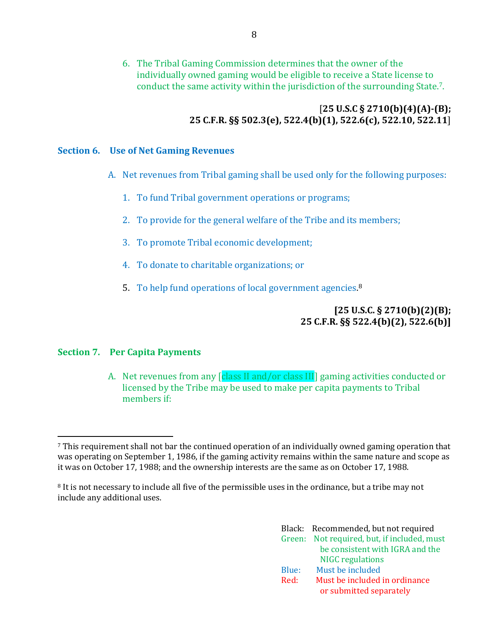6. The Tribal Gaming Commission determines that the owner of the individually owned gaming would be eligible to receive a State license to conduct the same activity within the jurisdiction of the surrounding State.7.

### [**25 U.S.C § 2710(b)(4)(A)-(B); 25 C.F.R. §§ 502.3(e), 522.4(b)(1), 522.6(c), 522.10, 522.11**]

### <span id="page-10-0"></span>**Section 6. Use of Net Gaming Revenues**

- A. Net revenues from Tribal gaming shall be used only for the following purposes:
	- 1. To fund Tribal government operations or programs;
	- 2. To provide for the general welfare of the Tribe and its members;
	- 3. To promote Tribal economic development;
	- 4. To donate to charitable organizations; or
	- 5. To help fund operations of local government agencies.<sup>8</sup>

### **[25 U.S.C. § 2710(b)(2)(B); 25 C.F.R. §§ 522.4(b)(2), 522.6(b)]**

### <span id="page-10-1"></span>**Section 7. Per Capita Payments**

 $\overline{\phantom{a}}$ 

A. Net revenues from any [class II and/or class III] gaming activities conducted or licensed by the Tribe may be used to make per capita payments to Tribal members if:

<sup>8</sup> It is not necessary to include all five of the permissible uses in the ordinance, but a tribe may not include any additional uses.

|       | Black: Recommended, but not required        |
|-------|---------------------------------------------|
|       | Green: Not required, but, if included, must |
|       | be consistent with IGRA and the             |
|       | <b>NIGC</b> regulations                     |
| Blue: | Must be included                            |
| Red:  | Must be included in ordinance               |
|       | or submitted separately                     |

<sup>7</sup> This requirement shall not bar the continued operation of an individually owned gaming operation that was operating on September 1, 1986, if the gaming activity remains within the same nature and scope as it was on October 17, 1988; and the ownership interests are the same as on October 17, 1988.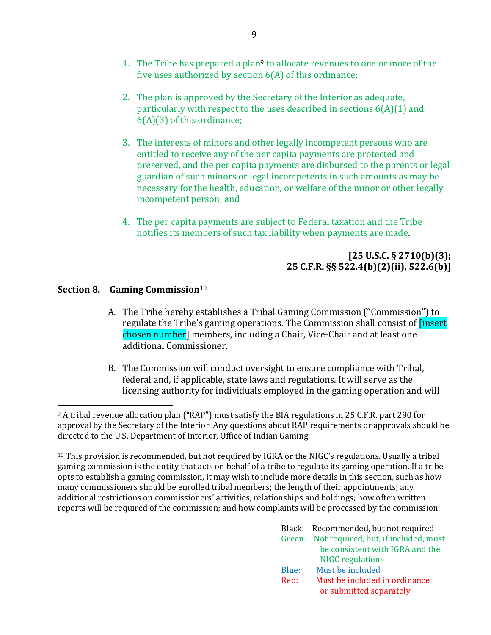- 2. The plan is approved by the Secretary of the Interior as adequate, particularly with respect to the uses described in sections  $6(A)(1)$  and 6(A)(3) of this ordinance;
- 3. The interests of minors and other legally incompetent persons who are entitled to receive any of the per capita payments are protected and preserved, and the per capita payments are disbursed to the parents or legal guardian of such minors or legal incompetents in such amounts as may be necessary for the health, education, or welfare of the minor or other legally incompetent person; and
- 4. The per capita payments are subject to Federal taxation and the Tribe notifies its members of such tax liability when payments are made.

# **[25 U.S.C. § 2710(b)(3); 25 C.F.R. §§ 522.4(b)(2)(ii), 522.6(b)]**

# <span id="page-11-0"></span>**Section 8. Gaming Commission**<sup>10</sup>

 $\overline{a}$ 

- A. The Tribe hereby establishes a Tribal Gaming Commission ("Commission") to regulate the Tribe's gaming operations. The Commission shall consist of *[insert*] chosen number] members, including a Chair, Vice-Chair and at least one additional Commissioner.
- B. The Commission will conduct oversight to ensure compliance with Tribal, federal and, if applicable, state laws and regulations. It will serve as the licensing authority for individuals employed in the gaming operation and will

<sup>10</sup> This provision is recommended, but not required by IGRA or the NIGC's regulations. Usually a tribal gaming commission is the entity that acts on behalf of a tribe to regulate its gaming operation. If a tribe opts to establish a gaming commission, it may wish to include more details in this section, such as how many commissioners should be enrolled tribal members; the length of their appointments; any additional restrictions on commissioners' activities, relationships and holdings; how often written reports will be required of the commission; and how complaints will be processed by the commission.

|       | Black: Recommended, but not required        |
|-------|---------------------------------------------|
|       | Green: Not required, but, if included, must |
|       | be consistent with IGRA and the             |
|       | <b>NIGC</b> regulations                     |
| Blue: | Must be included                            |
| Red:  | Must be included in ordinance               |
|       | or submitted separately                     |

<sup>9</sup> A tribal revenue allocation plan ("RAP") must satisfy the BIA regulations in 25 C.F.R. part 290 for approval by the Secretary of the Interior. Any questions about RAP requirements or approvals should be directed to the U.S. Department of Interior, Office of Indian Gaming.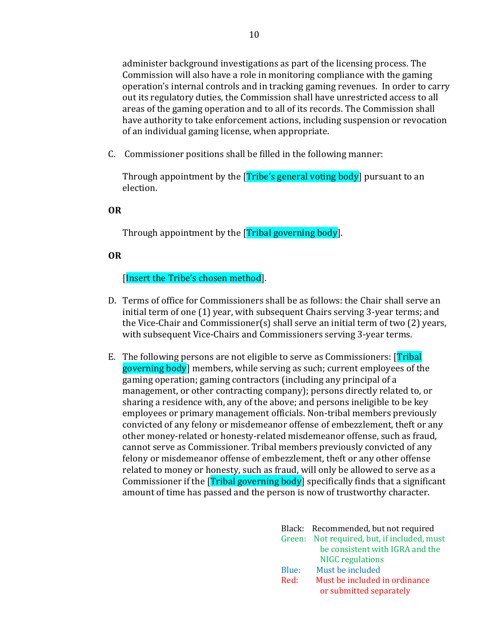administer background investigations as part of the licensing process. The Commission will also have a role in monitoring compliance with the gaming operation's internal controls and in tracking gaming revenues. In order to carry out its regulatory duties, the Commission shall have unrestricted access to all areas of the gaming operation and to all of its records. The Commission shall have authority to take enforcement actions, including suspension or revocation of an individual gaming license, when appropriate.

C. Commissioner positions shall be filled in the following manner:

Through appointment by the [Tribe's general voting body] pursuant to an election.

#### **OR**

Through appointment by the [Tribal governing body].

### **OR**

### [Insert the Tribe's chosen method].

- D. Terms of office for Commissioners shall be as follows: the Chair shall serve an initial term of one (1) year, with subsequent Chairs serving 3-year terms; and the Vice-Chair and Commissioner(s) shall serve an initial term of two (2) years, with subsequent Vice-Chairs and Commissioners serving 3-year terms.
- E. The following persons are not eligible to serve as Commissioners: [Tribal governing body] members, while serving as such; current employees of the gaming operation; gaming contractors (including any principal of a management, or other contracting company); persons directly related to, or sharing a residence with, any of the above; and persons ineligible to be key employees or primary management officials. Non-tribal members previously convicted of any felony or misdemeanor offense of embezzlement, theft or any other money-related or honesty-related misdemeanor offense, such as fraud, cannot serve as Commissioner. Tribal members previously convicted of any felony or misdemeanor offense of embezzlement, theft or any other offense related to money or honesty, such as fraud, will only be allowed to serve as a Commissioner if the [Tribal governing body] specifically finds that a significant amount of time has passed and the person is now of trustworthy character.

|       | Black: Recommended, but not required        |
|-------|---------------------------------------------|
|       | Green: Not required, but, if included, must |
|       | be consistent with IGRA and the             |
|       | <b>NIGC</b> regulations                     |
| Blue: | Must be included                            |
| Red:  | Must be included in ordinance               |
|       | or submitted separately                     |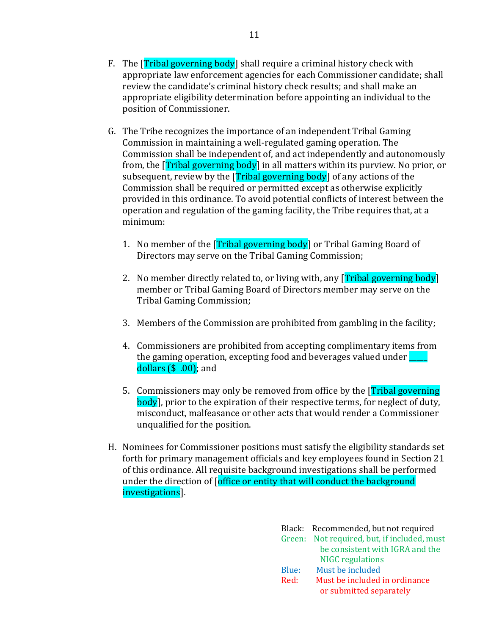- F. The **[Tribal governing body]** shall require a criminal history check with appropriate law enforcement agencies for each Commissioner candidate; shall review the candidate's criminal history check results; and shall make an appropriate eligibility determination before appointing an individual to the position of Commissioner.
- G. The Tribe recognizes the importance of an independent Tribal Gaming Commission in maintaining a well-regulated gaming operation. The Commission shall be independent of, and act independently and autonomously from, the [Tribal governing body] in all matters within its purview. No prior, or subsequent, review by the **[Tribal governing body]** of any actions of the Commission shall be required or permitted except as otherwise explicitly provided in this ordinance. To avoid potential conflicts of interest between the operation and regulation of the gaming facility, the Tribe requires that, at a minimum:
	- 1. No member of the **[Tribal governing body]** or Tribal Gaming Board of Directors may serve on the Tribal Gaming Commission;
	- 2. No member directly related to, or living with, any [Tribal governing body] member or Tribal Gaming Board of Directors member may serve on the Tribal Gaming Commission;
	- 3. Members of the Commission are prohibited from gambling in the facility;
	- 4. Commissioners are prohibited from accepting complimentary items from the gaming operation, excepting food and beverages valued under  $\Box$ dollars  $(\$ \ .00)$ ; and
	- 5. Commissioners may only be removed from office by the [Tribal governing body], prior to the expiration of their respective terms, for neglect of duty, misconduct, malfeasance or other acts that would render a Commissioner unqualified for the position.
- H. Nominees for Commissioner positions must satisfy the eligibility standards set forth for primary management officials and key employees found in Section 21 of this ordinance. All requisite background investigations shall be performed under the direction of [office or entity that will conduct the background investigations].

|       | Black: Recommended, but not required        |
|-------|---------------------------------------------|
|       | Green: Not required, but, if included, must |
|       | be consistent with IGRA and the             |
|       | <b>NIGC</b> regulations                     |
| Blue: | Must be included                            |
| Red:  | Must be included in ordinance               |
|       | or submitted separately                     |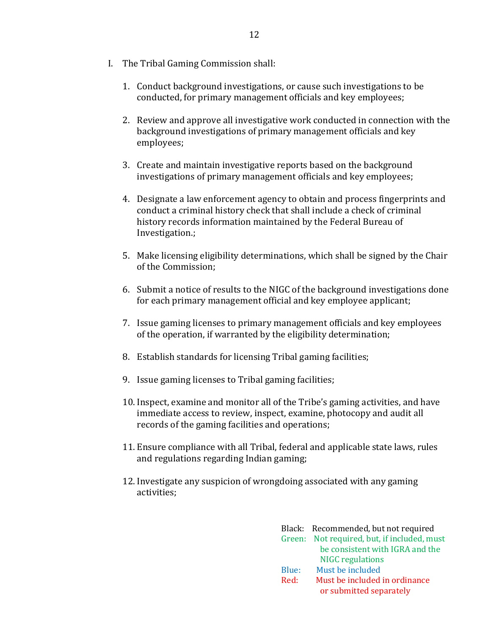- I. The Tribal Gaming Commission shall:
	- 1. Conduct background investigations, or cause such investigations to be conducted, for primary management officials and key employees;
	- 2. Review and approve all investigative work conducted in connection with the background investigations of primary management officials and key employees;
	- 3. Create and maintain investigative reports based on the background investigations of primary management officials and key employees;
	- 4. Designate a law enforcement agency to obtain and process fingerprints and conduct a criminal history check that shall include a check of criminal history records information maintained by the Federal Bureau of Investigation.;
	- 5. Make licensing eligibility determinations, which shall be signed by the Chair of the Commission;
	- 6. Submit a notice of results to the NIGC of the background investigations done for each primary management official and key employee applicant;
	- 7. Issue gaming licenses to primary management officials and key employees of the operation, if warranted by the eligibility determination;
	- 8. Establish standards for licensing Tribal gaming facilities;
	- 9. Issue gaming licenses to Tribal gaming facilities;
	- 10. Inspect, examine and monitor all of the Tribe's gaming activities, and have immediate access to review, inspect, examine, photocopy and audit all records of the gaming facilities and operations;
	- 11. Ensure compliance with all Tribal, federal and applicable state laws, rules and regulations regarding Indian gaming;
	- 12. Investigate any suspicion of wrongdoing associated with any gaming activities;

|       | Black: Recommended, but not required        |
|-------|---------------------------------------------|
|       | Green: Not required, but, if included, must |
|       | be consistent with IGRA and the             |
|       | <b>NIGC</b> regulations                     |
| Blue: | Must be included                            |
| Red:  | Must be included in ordinance               |
|       | or submitted separately                     |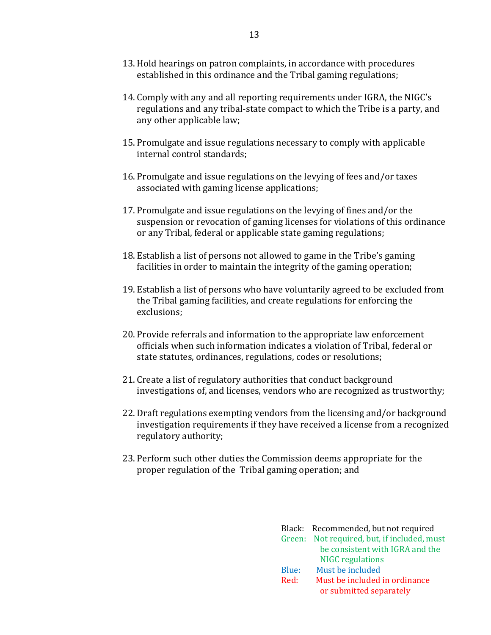- 13. Hold hearings on patron complaints, in accordance with procedures established in this ordinance and the Tribal gaming regulations;
- 14. Comply with any and all reporting requirements under IGRA, the NIGC's regulations and any tribal-state compact to which the Tribe is a party, and any other applicable law;
- 15. Promulgate and issue regulations necessary to comply with applicable internal control standards;
- 16. Promulgate and issue regulations on the levying of fees and/or taxes associated with gaming license applications;
- 17. Promulgate and issue regulations on the levying of fines and/or the suspension or revocation of gaming licenses for violations of this ordinance or any Tribal, federal or applicable state gaming regulations;
- 18. Establish a list of persons not allowed to game in the Tribe's gaming facilities in order to maintain the integrity of the gaming operation;
- 19. Establish a list of persons who have voluntarily agreed to be excluded from the Tribal gaming facilities, and create regulations for enforcing the exclusions;
- 20. Provide referrals and information to the appropriate law enforcement officials when such information indicates a violation of Tribal, federal or state statutes, ordinances, regulations, codes or resolutions;
- 21. Create a list of regulatory authorities that conduct background investigations of, and licenses, vendors who are recognized as trustworthy;
- 22. Draft regulations exempting vendors from the licensing and/or background investigation requirements if they have received a license from a recognized regulatory authority;
- 23. Perform such other duties the Commission deems appropriate for the proper regulation of the Tribal gaming operation; and

|       | Black: Recommended, but not required        |
|-------|---------------------------------------------|
|       | Green: Not required, but, if included, must |
|       | be consistent with IGRA and the             |
|       | <b>NIGC</b> regulations                     |
| Blue: | Must be included                            |
| Red:  | Must be included in ordinance               |
|       | or submitted separately                     |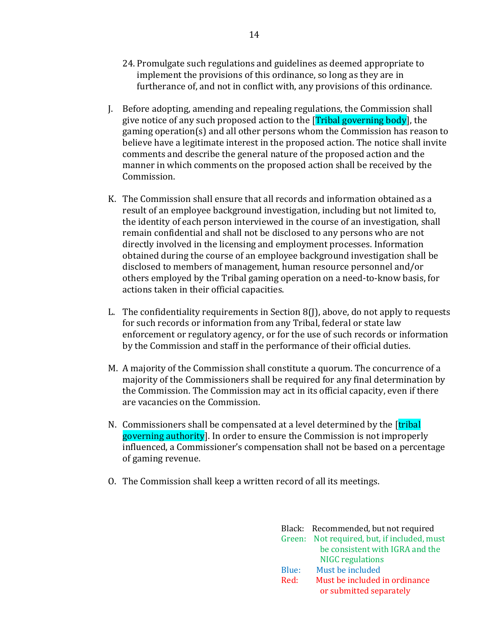- 24. Promulgate such regulations and guidelines as deemed appropriate to implement the provisions of this ordinance, so long as they are in furtherance of, and not in conflict with, any provisions of this ordinance.
- J. Before adopting, amending and repealing regulations, the Commission shall give notice of any such proposed action to the **[Tribal governing body]**, the gaming operation(s) and all other persons whom the Commission has reason to believe have a legitimate interest in the proposed action. The notice shall invite comments and describe the general nature of the proposed action and the manner in which comments on the proposed action shall be received by the Commission.
- K. The Commission shall ensure that all records and information obtained as a result of an employee background investigation, including but not limited to, the identity of each person interviewed in the course of an investigation, shall remain confidential and shall not be disclosed to any persons who are not directly involved in the licensing and employment processes. Information obtained during the course of an employee background investigation shall be disclosed to members of management, human resource personnel and/or others employed by the Tribal gaming operation on a need-to-know basis, for actions taken in their official capacities.
- L. The confidentiality requirements in Section 8(J), above, do not apply to requests for such records or information from any Tribal, federal or state law enforcement or regulatory agency, or for the use of such records or information by the Commission and staff in the performance of their official duties.
- M. A majority of the Commission shall constitute a quorum. The concurrence of a majority of the Commissioners shall be required for any final determination by the Commission. The Commission may act in its official capacity, even if there are vacancies on the Commission.
- N. Commissioners shall be compensated at a level determined by the [tribal] governing authority]. In order to ensure the Commission is not improperly influenced, a Commissioner's compensation shall not be based on a percentage of gaming revenue.
- O. The Commission shall keep a written record of all its meetings.

|       | Black: Recommended, but not required        |
|-------|---------------------------------------------|
|       | Green: Not required, but, if included, must |
|       | be consistent with IGRA and the             |
|       | <b>NIGC</b> regulations                     |
| Blue: | Must be included                            |
| Red:  | Must be included in ordinance               |
|       | or submitted separately                     |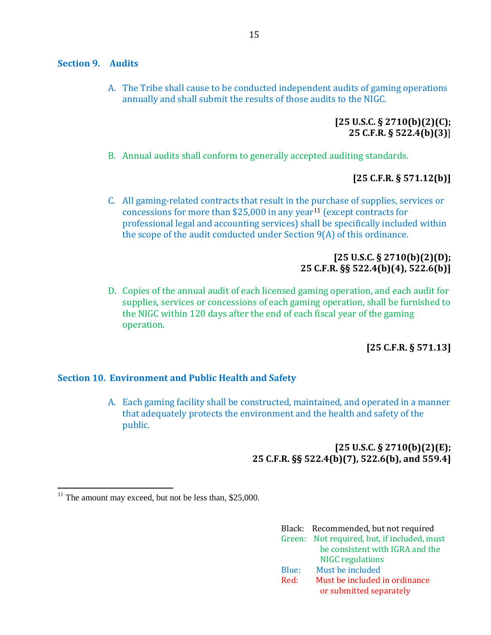#### <span id="page-17-0"></span>**Section 9. Audits**

A. The Tribe shall cause to be conducted independent audits of gaming operations annually and shall submit the results of those audits to the NIGC.

### **[25 U.S.C. § 2710(b)(2)(C); 25 C.F.R. § 522.4(b)(3)**]

B. Annual audits shall conform to generally accepted auditing standards.

### **[25 C.F.R. § 571.12(b)]**

C. All gaming-related contracts that result in the purchase of supplies, services or concessions for more than \$25,000 in any year<sup>11</sup> (except contracts for professional legal and accounting services) shall be specifically included within the scope of the audit conducted under Section 9(A) of this ordinance.

## **[25 U.S.C. § 2710(b)(2)(D); 25 C.F.R. §§ 522.4(b)(4), 522.6(b)]**

D. Copies of the annual audit of each licensed gaming operation, and each audit for supplies, services or concessions of each gaming operation, shall be furnished to the NIGC within 120 days after the end of each fiscal year of the gaming operation.

### **[25 C.F.R. § 571.13]**

### <span id="page-17-1"></span>**Section 10. Environment and Public Health and Safety**

A. Each gaming facility shall be constructed, maintained, and operated in a manner that adequately protects the environment and the health and safety of the public.

### **[25 U.S.C. § 2710(b)(2)(E); 25 C.F.R. §§ 522.4(b)(7), 522.6(b), and 559.4]**

 $\overline{a}$ 

|       | Black: Recommended, but not required        |
|-------|---------------------------------------------|
|       | Green: Not required, but, if included, must |
|       | be consistent with IGRA and the             |
|       | <b>NIGC</b> regulations                     |
| Blue: | Must be included                            |
| Red:  | Must be included in ordinance               |
|       | or submitted separately                     |

 $11$  The amount may exceed, but not be less than, \$25,000.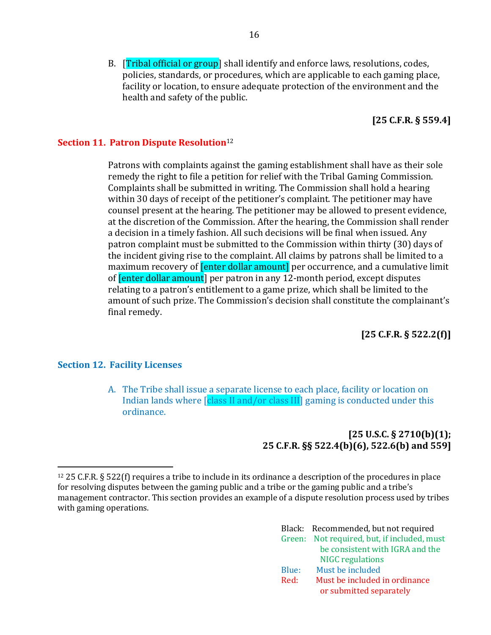B. **[Tribal official or group**] shall identify and enforce laws, resolutions, codes, policies, standards, or procedures, which are applicable to each gaming place, facility or location, to ensure adequate protection of the environment and the health and safety of the public.

**[25 C.F.R. § 559.4]**

### <span id="page-18-0"></span>**Section 11. Patron Dispute Resolution**<sup>12</sup>

Patrons with complaints against the gaming establishment shall have as their sole remedy the right to file a petition for relief with the Tribal Gaming Commission. Complaints shall be submitted in writing. The Commission shall hold a hearing within 30 days of receipt of the petitioner's complaint. The petitioner may have counsel present at the hearing. The petitioner may be allowed to present evidence, at the discretion of the Commission. After the hearing, the Commission shall render a decision in a timely fashion. All such decisions will be final when issued. Any patron complaint must be submitted to the Commission within thirty (30) days of the incident giving rise to the complaint. All claims by patrons shall be limited to a maximum recovery of **[enter dollar amount]** per occurrence, and a cumulative limit of [enter dollar amount] per patron in any 12-month period, except disputes relating to a patron's entitlement to a game prize, which shall be limited to the amount of such prize. The Commission's decision shall constitute the complainant's final remedy.

**[25 C.F.R. § 522.2(f)]**

### <span id="page-18-1"></span>**Section 12. Facility Licenses**

 $\overline{\phantom{a}}$ 

A. The Tribe shall issue a separate license to each place, facility or location on Indian lands where *[class II and/or class III]* gaming is conducted under this ordinance.

### **[25 U.S.C. § 2710(b)(1); 25 C.F.R. §§ 522.4(b)(6), 522.6(b) and 559]**

<sup>12</sup> 25 C.F.R. § 522(f) requires a tribe to include in its ordinance a description of the procedures in place for resolving disputes between the gaming public and a tribe or the gaming public and a tribe's management contractor. This section provides an example of a dispute resolution process used by tribes with gaming operations.

|       | Black: Recommended, but not required        |
|-------|---------------------------------------------|
|       | Green: Not required, but, if included, must |
|       | be consistent with IGRA and the             |
|       | <b>NIGC</b> regulations                     |
| Blue: | Must be included                            |
| Red:  | Must be included in ordinance               |
|       | or submitted separately                     |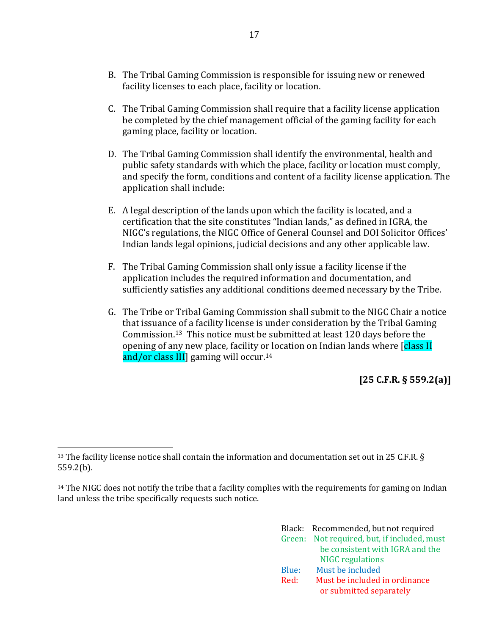- B. The Tribal Gaming Commission is responsible for issuing new or renewed facility licenses to each place, facility or location.
- C. The Tribal Gaming Commission shall require that a facility license application be completed by the chief management official of the gaming facility for each gaming place, facility or location.
- D. The Tribal Gaming Commission shall identify the environmental, health and public safety standards with which the place, facility or location must comply, and specify the form, conditions and content of a facility license application. The application shall include:
- E. A legal description of the lands upon which the facility is located, and a certification that the site constitutes "Indian lands," as defined in IGRA, the NIGC's regulations, the NIGC Office of General Counsel and DOI Solicitor Offices' Indian lands legal opinions, judicial decisions and any other applicable law.
- F. The Tribal Gaming Commission shall only issue a facility license if the application includes the required information and documentation, and sufficiently satisfies any additional conditions deemed necessary by the Tribe.
- G. The Tribe or Tribal Gaming Commission shall submit to the NIGC Chair a notice that issuance of a facility license is under consideration by the Tribal Gaming Commission.13 This notice must be submitted at least 120 days before the opening of any new place, facility or location on Indian lands where [class II] and/or class III] gaming will occur.<sup>14</sup>

**[25 C.F.R. § 559.2(a)]**

 $\overline{\phantom{a}}$ 

<sup>&</sup>lt;sup>14</sup> The NIGC does not notify the tribe that a facility complies with the requirements for gaming on Indian land unless the tribe specifically requests such notice.

|       | Black: Recommended, but not required        |
|-------|---------------------------------------------|
|       | Green: Not required, but, if included, must |
|       | be consistent with IGRA and the             |
|       | <b>NIGC</b> regulations                     |
| Blue: | Must be included                            |
| Red:  | Must be included in ordinance               |
|       | or submitted separately                     |

<sup>&</sup>lt;sup>13</sup> The facility license notice shall contain the information and documentation set out in 25 C.F.R. § 559.2(b).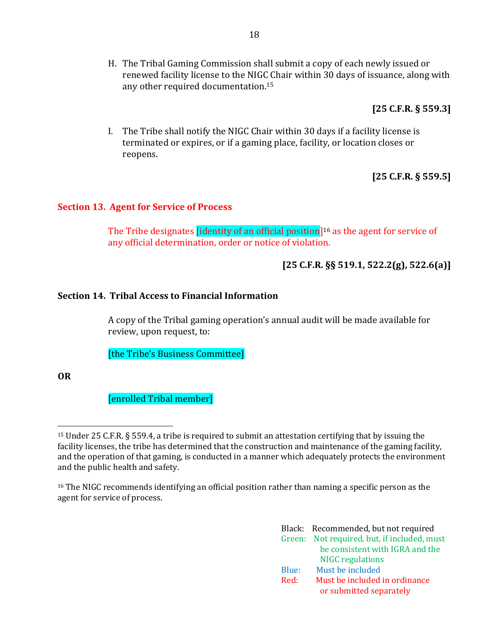H. The Tribal Gaming Commission shall submit a copy of each newly issued or renewed facility license to the NIGC Chair within 30 days of issuance, along with any other required documentation.<sup>15</sup>

**[25 C.F.R. § 559.3]**

I. The Tribe shall notify the NIGC Chair within 30 days if a facility license is terminated or expires, or if a gaming place, facility, or location closes or reopens.

**[25 C.F.R. § 559.5]**

#### <span id="page-20-0"></span>**Section 13. Agent for Service of Process**

The Tribe designates *[identity of an official position]*<sup>16</sup> as the agent for service of any official determination, order or notice of violation.

### **[25 C.F.R. §§ 519.1, 522.2(g), 522.6(a)]**

#### <span id="page-20-1"></span>**Section 14. Tribal Access to Financial Information**

A copy of the Tribal gaming operation's annual audit will be made available for review, upon request, to:

[the Tribe's Business Committee]

**OR**

 $\overline{\phantom{a}}$ 

[enrolled Tribal member]

<sup>16</sup> The NIGC recommends identifying an official position rather than naming a specific person as the agent for service of process.

|       | Black: Recommended, but not required        |
|-------|---------------------------------------------|
|       | Green: Not required, but, if included, must |
|       | be consistent with IGRA and the             |
|       | <b>NIGC</b> regulations                     |
| Blue: | Must be included                            |
| Red:  | Must be included in ordinance               |
|       | or submitted separately                     |

<sup>15</sup> Under 25 C.F.R. § 559.4, a tribe is required to submit an attestation certifying that by issuing the facility licenses, the tribe has determined that the construction and maintenance of the gaming facility, and the operation of that gaming, is conducted in a manner which adequately protects the environment and the public health and safety.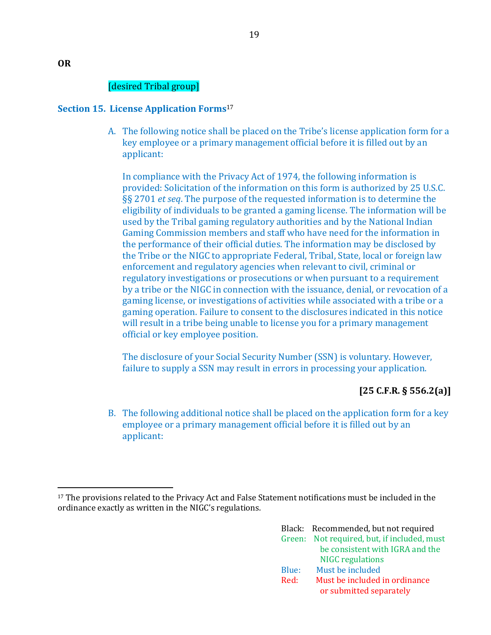# [desired Tribal group]

### <span id="page-21-0"></span>**Section 15. License Application Forms**<sup>17</sup>

A. The following notice shall be placed on the Tribe's license application form for a key employee or a primary management official before it is filled out by an applicant:

In compliance with the Privacy Act of 1974, the following information is provided: Solicitation of the information on this form is authorized by 25 U.S.C. §§ 2701 *et seq*. The purpose of the requested information is to determine the eligibility of individuals to be granted a gaming license. The information will be used by the Tribal gaming regulatory authorities and by the National Indian Gaming Commission members and staff who have need for the information in the performance of their official duties. The information may be disclosed by the Tribe or the NIGC to appropriate Federal, Tribal, State, local or foreign law enforcement and regulatory agencies when relevant to civil, criminal or regulatory investigations or prosecutions or when pursuant to a requirement by a tribe or the NIGC in connection with the issuance, denial, or revocation of a gaming license, or investigations of activities while associated with a tribe or a gaming operation. Failure to consent to the disclosures indicated in this notice will result in a tribe being unable to license you for a primary management official or key employee position.

The disclosure of your Social Security Number (SSN) is voluntary. However, failure to supply a SSN may result in errors in processing your application.

# **[25 C.F.R. § 556.2(a)]**

B. The following additional notice shall be placed on the application form for a key employee or a primary management official before it is filled out by an applicant:

<sup>17</sup> The provisions related to the Privacy Act and False Statement notifications must be included in the ordinance exactly as written in the NIGC's regulations.

|       | Black: Recommended, but not required        |
|-------|---------------------------------------------|
|       | Green: Not required, but, if included, must |
|       | be consistent with IGRA and the             |
|       | <b>NIGC</b> regulations                     |
| Blue: | Must be included                            |
| Red:  | Must be included in ordinance               |
|       | or submitted separately                     |

 $\overline{\phantom{a}}$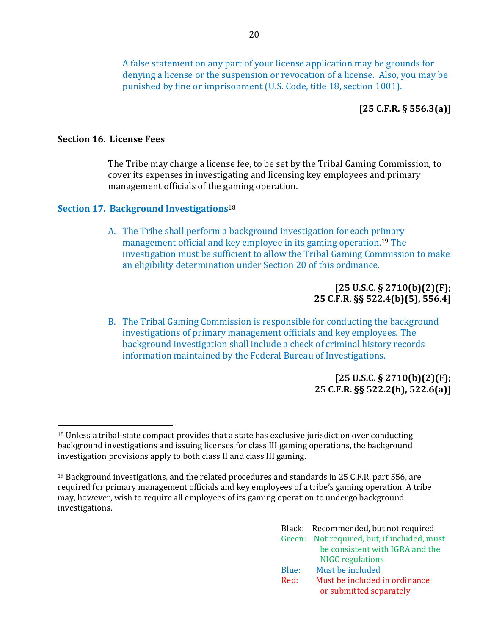A false statement on any part of your license application may be grounds for denying a license or the suspension or revocation of a license. Also, you may be punished by fine or imprisonment (U.S. Code, title 18, section 1001).

# **[25 C.F.R. § 556.3(a)]**

### <span id="page-22-0"></span>**Section 16. License Fees**

l

The Tribe may charge a license fee, to be set by the Tribal Gaming Commission, to cover its expenses in investigating and licensing key employees and primary management officials of the gaming operation.

#### <span id="page-22-1"></span>**Section 17. Background Investigations**<sup>18</sup>

A. The Tribe shall perform a background investigation for each primary management official and key employee in its gaming operation.<sup>19</sup> The investigation must be sufficient to allow the Tribal Gaming Commission to make an eligibility determination under Section 20 of this ordinance.

### **[25 U.S.C. § 2710(b)(2)(F); 25 C.F.R. §§ 522.4(b)(5), 556.4]**

B. The Tribal Gaming Commission is responsible for conducting the background investigations of primary management officials and key employees. The background investigation shall include a check of criminal history records information maintained by the Federal Bureau of Investigations.

### **[25 U.S.C. § 2710(b)(2)(F); 25 C.F.R. §§ 522.2(h), 522.6(a)]**

<sup>19</sup> Background investigations, and the related procedures and standards in 25 C.F.R. part 556, are required for primary management officials and key employees of a tribe's gaming operation. A tribe may, however, wish to require all employees of its gaming operation to undergo background investigations.

|       | Black: Recommended, but not required        |
|-------|---------------------------------------------|
|       | Green: Not required, but, if included, must |
|       | be consistent with IGRA and the             |
|       | <b>NIGC</b> regulations                     |
| Blue: | Must be included                            |
| Red:  | Must be included in ordinance               |
|       | or submitted separately                     |

<sup>18</sup> Unless a tribal-state compact provides that a state has exclusive jurisdiction over conducting background investigations and issuing licenses for class III gaming operations, the background investigation provisions apply to both class II and class III gaming.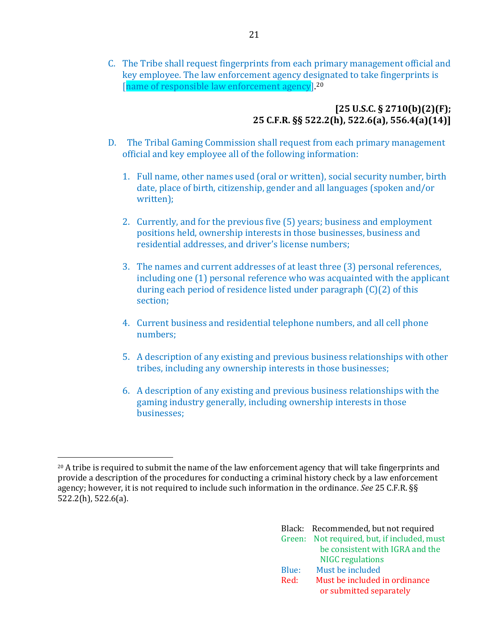C. The Tribe shall request fingerprints from each primary management official and key employee. The law enforcement agency designated to take fingerprints is [name of responsible law enforcement agency]. 20

### **[25 U.S.C. § 2710(b)(2)(F); 25 C.F.R. §§ 522.2(h), 522.6(a), 556.4(a)(14)]**

- D. The Tribal Gaming Commission shall request from each primary management official and key employee all of the following information:
	- 1. Full name, other names used (oral or written), social security number, birth date, place of birth, citizenship, gender and all languages (spoken and/or written);
	- 2. Currently, and for the previous five (5) years; business and employment positions held, ownership interests in those businesses, business and residential addresses, and driver's license numbers;
	- 3. The names and current addresses of at least three (3) personal references, including one (1) personal reference who was acquainted with the applicant during each period of residence listed under paragraph (C)(2) of this section;
	- 4. Current business and residential telephone numbers, and all cell phone numbers;
	- 5. A description of any existing and previous business relationships with other tribes, including any ownership interests in those businesses;
	- 6. A description of any existing and previous business relationships with the gaming industry generally, including ownership interests in those businesses;

 $\overline{\phantom{a}}$ <sup>20</sup> A tribe is required to submit the name of the law enforcement agency that will take fingerprints and provide a description of the procedures for conducting a criminal history check by a law enforcement agency; however, it is not required to include such information in the ordinance. *See* 25 C.F.R. §§ 522.2(h), 522.6(a).

|      |       | Black: Recommended, but not required        |
|------|-------|---------------------------------------------|
|      |       | Green: Not required, but, if included, must |
|      |       | be consistent with IGRA and the             |
|      |       | <b>NIGC</b> regulations                     |
|      | Blue: | Must be included                            |
| Red: |       | Must be included in ordinance               |
|      |       | or submitted separately                     |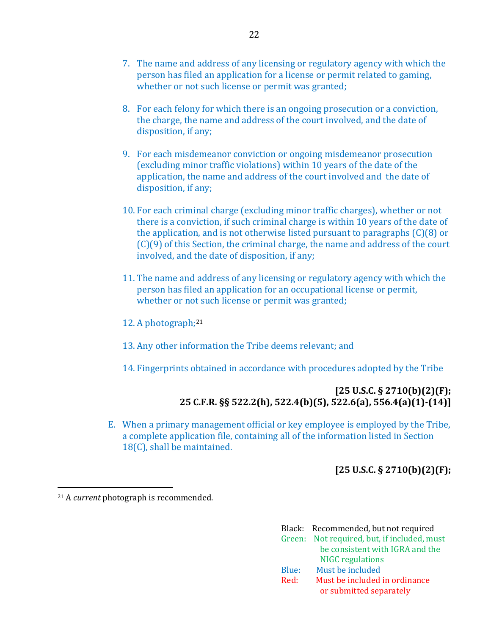- 7. The name and address of any licensing or regulatory agency with which the person has filed an application for a license or permit related to gaming, whether or not such license or permit was granted;
- 8. For each felony for which there is an ongoing prosecution or a conviction, the charge, the name and address of the court involved, and the date of disposition, if any;
- 9. For each misdemeanor conviction or ongoing misdemeanor prosecution (excluding minor traffic violations) within 10 years of the date of the application, the name and address of the court involved and the date of disposition, if any;
- 10. For each criminal charge (excluding minor traffic charges), whether or not there is a conviction, if such criminal charge is within 10 years of the date of the application, and is not otherwise listed pursuant to paragraphs (C)(8) or (C)(9) of this Section, the criminal charge, the name and address of the court involved, and the date of disposition, if any;
- 11. The name and address of any licensing or regulatory agency with which the person has filed an application for an occupational license or permit, whether or not such license or permit was granted;
- 12. A photograph;<sup>21</sup>
- 13. Any other information the Tribe deems relevant; and
- 14. Fingerprints obtained in accordance with procedures adopted by the Tribe

### **[25 U.S.C. § 2710(b)(2)(F); 25 C.F.R. §§ 522.2(h), 522.4(b)(5), 522.6(a), 556.4(a)(1)-(14)]**

E. When a primary management official or key employee is employed by the Tribe, a complete application file, containing all of the information listed in Section 18(C), shall be maintained.

# **[25 U.S.C. § 2710(b)(2)(F);**

<sup>21</sup> A *current* photograph is recommended.

 $\overline{\phantom{a}}$ 

|       | Black: Recommended, but not required        |
|-------|---------------------------------------------|
|       | Green: Not required, but, if included, must |
|       | be consistent with IGRA and the             |
|       | <b>NIGC</b> regulations                     |
| Blue: | Must be included                            |
| Red:  | Must be included in ordinance               |
|       | or submitted separately                     |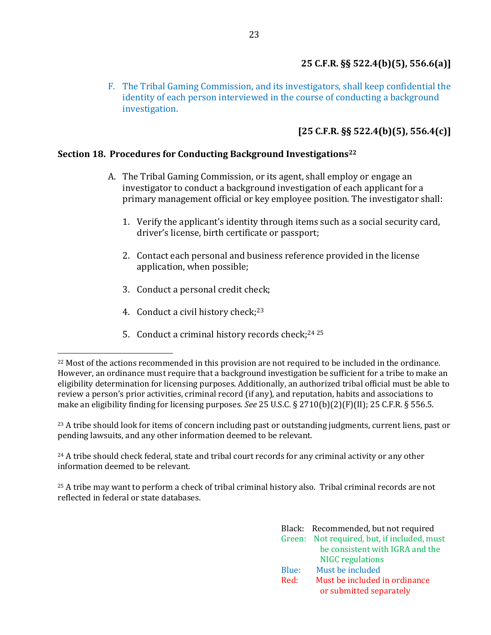F. The Tribal Gaming Commission, and its investigators, shall keep confidential the identity of each person interviewed in the course of conducting a background investigation.

# **[25 C.F.R. §§ 522.4(b)(5), 556.4(c)]**

### <span id="page-25-0"></span>**Section 18. Procedures for Conducting Background Investigations<sup>22</sup>**

- A. The Tribal Gaming Commission, or its agent, shall employ or engage an investigator to conduct a background investigation of each applicant for a primary management official or key employee position. The investigator shall:
	- 1. Verify the applicant's identity through items such as a social security card, driver's license, birth certificate or passport;
	- 2. Contact each personal and business reference provided in the license application, when possible;
	- 3. Conduct a personal credit check;
	- 4. Conduct a civil history check;<sup>23</sup>

l

5. Conduct a criminal history records check;<sup>24 25</sup>

<sup>23</sup> A tribe should look for items of concern including past or outstanding judgments, current liens, past or pending lawsuits, and any other information deemed to be relevant.

<sup>24</sup> A tribe should check federal, state and tribal court records for any criminal activity or any other information deemed to be relevant.

<sup>25</sup> A tribe may want to perform a check of tribal criminal history also. Tribal criminal records are not reflected in federal or state databases.

|       | Black: Recommended, but not required        |
|-------|---------------------------------------------|
|       | Green: Not required, but, if included, must |
|       | be consistent with IGRA and the             |
|       | <b>NIGC</b> regulations                     |
| Blue: | Must be included                            |
| Red:  | Must be included in ordinance               |
|       | or submitted separately                     |

<sup>22</sup> Most of the actions recommended in this provision are not required to be included in the ordinance. However, an ordinance must require that a background investigation be sufficient for a tribe to make an eligibility determination for licensing purposes. Additionally, an authorized tribal official must be able to review a person's prior activities, criminal record (if any), and reputation, habits and associations to make an eligibility finding for licensing purposes. *See* 25 U.S.C. § 2710(b)(2)(F)(II); 25 C.F.R. § 556.5.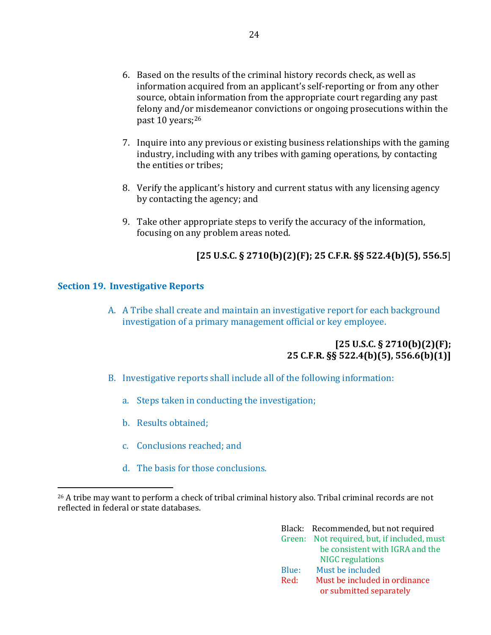- 6. Based on the results of the criminal history records check, as well as information acquired from an applicant's self-reporting or from any other source, obtain information from the appropriate court regarding any past felony and/or misdemeanor convictions or ongoing prosecutions within the past 10 years;<sup>26</sup>
- 7. Inquire into any previous or existing business relationships with the gaming industry, including with any tribes with gaming operations, by contacting the entities or tribes;
- 8. Verify the applicant's history and current status with any licensing agency by contacting the agency; and
- 9. Take other appropriate steps to verify the accuracy of the information, focusing on any problem areas noted.

# **[25 U.S.C. § 2710(b)(2)(F); 25 C.F.R. §§ 522.4(b)(5), 556.5**]

### <span id="page-26-0"></span>**Section 19. Investigative Reports**

 $\overline{\phantom{a}}$ 

A. A Tribe shall create and maintain an investigative report for each background investigation of a primary management official or key employee.

### **[25 U.S.C. § 2710(b)(2)(F); 25 C.F.R. §§ 522.4(b)(5), 556.6(b)(1)]**

- B. Investigative reports shall include all of the following information:
	- a. Steps taken in conducting the investigation;
	- b. Results obtained;
	- c. Conclusions reached; and
	- d. The basis for those conclusions.

<sup>26</sup> A tribe may want to perform a check of tribal criminal history also. Tribal criminal records are not reflected in federal or state databases.

|       | Black: Recommended, but not required        |
|-------|---------------------------------------------|
|       | Green: Not required, but, if included, must |
|       | be consistent with IGRA and the             |
|       | <b>NIGC</b> regulations                     |
| Blue: | Must be included                            |
| Red:  | Must be included in ordinance               |
|       | or submitted separately                     |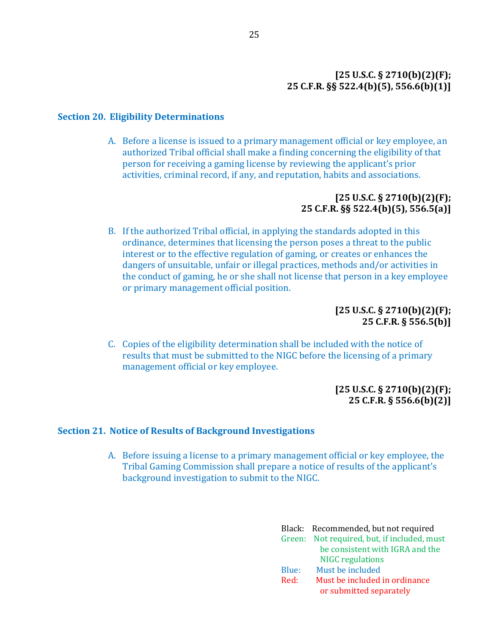### **[25 U.S.C. § 2710(b)(2)(F); 25 C.F.R. §§ 522.4(b)(5), 556.6(b)(1)]**

#### <span id="page-27-0"></span>**Section 20. Eligibility Determinations**

A. Before a license is issued to a primary management official or key employee, an authorized Tribal official shall make a finding concerning the eligibility of that person for receiving a gaming license by reviewing the applicant's prior activities, criminal record, if any, and reputation, habits and associations.

### **[25 U.S.C. § 2710(b)(2)(F); 25 C.F.R. §§ 522.4(b)(5), 556.5(a)]**

B. If the authorized Tribal official, in applying the standards adopted in this ordinance, determines that licensing the person poses a threat to the public interest or to the effective regulation of gaming, or creates or enhances the dangers of unsuitable, unfair or illegal practices, methods and/or activities in the conduct of gaming, he or she shall not license that person in a key employee or primary management official position.

> **[25 U.S.C. § 2710(b)(2)(F); 25 C.F.R. § 556.5(b)]**

C. Copies of the eligibility determination shall be included with the notice of results that must be submitted to the NIGC before the licensing of a primary management official or key employee.

> **[25 U.S.C. § 2710(b)(2)(F); 25 C.F.R. § 556.6(b)(2)]**

#### <span id="page-27-1"></span>**Section 21. Notice of Results of Background Investigations**

A. Before issuing a license to a primary management official or key employee, the Tribal Gaming Commission shall prepare a notice of results of the applicant's background investigation to submit to the NIGC.

|       | Black: Recommended, but not required        |
|-------|---------------------------------------------|
|       | Green: Not required, but, if included, must |
|       | be consistent with IGRA and the             |
|       | <b>NIGC</b> regulations                     |
| Blue: | Must be included                            |
| Red:  | Must be included in ordinance               |
|       | or submitted separately                     |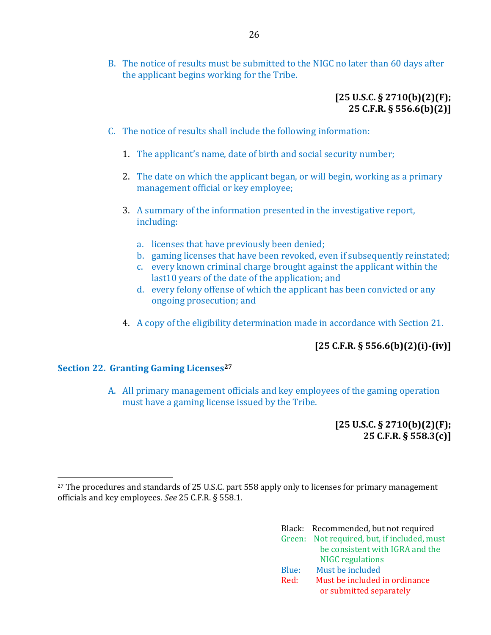B. The notice of results must be submitted to the NIGC no later than 60 days after the applicant begins working for the Tribe.

### **[25 U.S.C. § 2710(b)(2)(F); 25 C.F.R. § 556.6(b)(2)]**

- C. The notice of results shall include the following information:
	- 1. The applicant's name, date of birth and social security number;
	- 2. The date on which the applicant began, or will begin, working as a primary management official or key employee;
	- 3. A summary of the information presented in the investigative report, including:
		- a. licenses that have previously been denied;
		- b. gaming licenses that have been revoked, even if subsequently reinstated;
		- c. every known criminal charge brought against the applicant within the last10 years of the date of the application; and
		- d. every felony offense of which the applicant has been convicted or any ongoing prosecution; and
	- 4. A copy of the eligibility determination made in accordance with Section 21.

# **[25 C.F.R. § 556.6(b)(2)(i)-(iv)]**

### <span id="page-28-0"></span>**Section 22. Granting Gaming Licenses<sup>27</sup>**

 $\overline{a}$ 

A. All primary management officials and key employees of the gaming operation must have a gaming license issued by the Tribe.

> **[25 U.S.C. § 2710(b)(2)(F); 25 C.F.R. § 558.3(c)]**

<sup>&</sup>lt;sup>27</sup> The procedures and standards of 25 U.S.C. part 558 apply only to licenses for primary management officials and key employees. *See* 25 C.F.R. § 558.1.

|       | Black: Recommended, but not required        |
|-------|---------------------------------------------|
|       | Green: Not required, but, if included, must |
|       | be consistent with IGRA and the             |
|       | <b>NIGC</b> regulations                     |
| Blue: | Must be included                            |
| Red:  | Must be included in ordinance               |
|       | or submitted separately                     |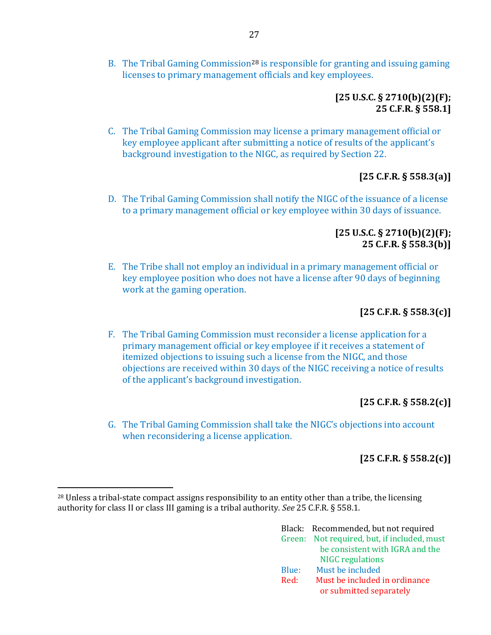B. The Tribal Gaming Commission<sup>28</sup> is responsible for granting and issuing gaming licenses to primary management officials and key employees.

### **[25 U.S.C. § 2710(b)(2)(F); 25 C.F.R. § 558.1]**

C. The Tribal Gaming Commission may license a primary management official or key employee applicant after submitting a notice of results of the applicant's background investigation to the NIGC, as required by Section 22.

# **[25 C.F.R. § 558.3(a)]**

D. The Tribal Gaming Commission shall notify the NIGC of the issuance of a license to a primary management official or key employee within 30 days of issuance.

### **[25 U.S.C. § 2710(b)(2)(F); 25 C.F.R. § 558.3(b)]**

E. The Tribe shall not employ an individual in a primary management official or key employee position who does not have a license after 90 days of beginning work at the gaming operation.

# **[25 C.F.R. § 558.3(c)]**

F. The Tribal Gaming Commission must reconsider a license application for a primary management official or key employee if it receives a statement of itemized objections to issuing such a license from the NIGC, and those objections are received within 30 days of the NIGC receiving a notice of results of the applicant's background investigation.

# **[25 C.F.R. § 558.2(c)]**

G. The Tribal Gaming Commission shall take the NIGC's objections into account when reconsidering a license application.

# **[25 C.F.R. § 558.2(c)]**

 $\overline{\phantom{a}}$ 

|       | Black: Recommended, but not required        |
|-------|---------------------------------------------|
|       | Green: Not required, but, if included, must |
|       | be consistent with IGRA and the             |
|       | <b>NIGC</b> regulations                     |
| Blue: | Must be included                            |
| Red:  | Must be included in ordinance               |
|       | or submitted separately                     |

<sup>28</sup> Unless a tribal-state compact assigns responsibility to an entity other than a tribe, the licensing authority for class II or class III gaming is a tribal authority. *See* 25 C.F.R. § 558.1.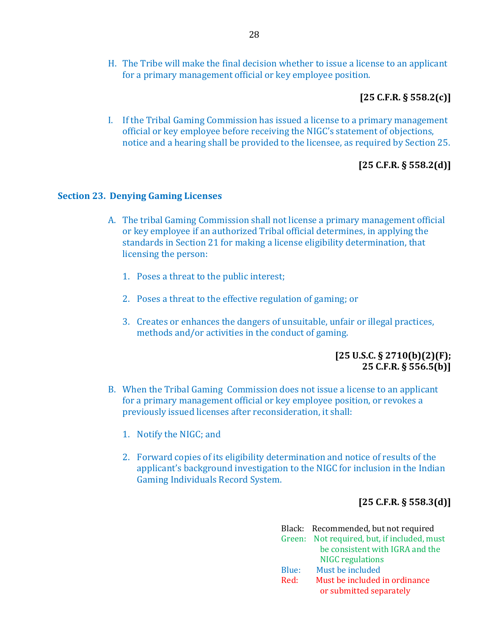H. The Tribe will make the final decision whether to issue a license to an applicant for a primary management official or key employee position.

### **[25 C.F.R. § 558.2(c)]**

I. If the Tribal Gaming Commission has issued a license to a primary management official or key employee before receiving the NIGC's statement of objections, notice and a hearing shall be provided to the licensee, as required by Section 25.

# **[25 C.F.R. § 558.2(d)]**

#### <span id="page-30-0"></span>**Section 23. Denying Gaming Licenses**

- A. The tribal Gaming Commission shall not license a primary management official or key employee if an authorized Tribal official determines, in applying the standards in Section 21 for making a license eligibility determination, that licensing the person:
	- 1. Poses a threat to the public interest;
	- 2. Poses a threat to the effective regulation of gaming; or
	- 3. Creates or enhances the dangers of unsuitable, unfair or illegal practices, methods and/or activities in the conduct of gaming.

### **[25 U.S.C. § 2710(b)(2)(F); 25 C.F.R. § 556.5(b)]**

- B. When the Tribal Gaming Commission does not issue a license to an applicant for a primary management official or key employee position, or revokes a previously issued licenses after reconsideration, it shall:
	- 1. Notify the NIGC; and
	- 2. Forward copies of its eligibility determination and notice of results of the applicant's background investigation to the NIGC for inclusion in the Indian Gaming Individuals Record System.

### **[25 C.F.R. § 558.3(d)]**

|       | Black: Recommended, but not required        |
|-------|---------------------------------------------|
|       | Green: Not required, but, if included, must |
|       | be consistent with IGRA and the             |
|       | <b>NIGC</b> regulations                     |
| Blue: | Must be included                            |
| Red:  | Must be included in ordinance               |
|       | or submitted separately                     |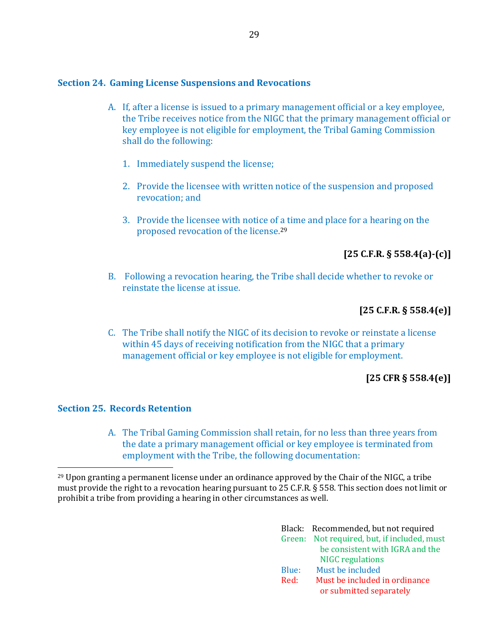#### <span id="page-31-0"></span>**Section 24. Gaming License Suspensions and Revocations**

- A. If, after a license is issued to a primary management official or a key employee, the Tribe receives notice from the NIGC that the primary management official or key employee is not eligible for employment, the Tribal Gaming Commission shall do the following:
	- 1. Immediately suspend the license;
	- 2. Provide the licensee with written notice of the suspension and proposed revocation; and
	- 3. Provide the licensee with notice of a time and place for a hearing on the proposed revocation of the license.<sup>29</sup>

### **[25 C.F.R. § 558.4(a)-(c)]**

B. Following a revocation hearing, the Tribe shall decide whether to revoke or reinstate the license at issue.

### **[25 C.F.R. § 558.4(e)]**

C. The Tribe shall notify the NIGC of its decision to revoke or reinstate a license within 45 days of receiving notification from the NIGC that a primary management official or key employee is not eligible for employment.

### **[25 CFR § 558.4(e)]**

### <span id="page-31-1"></span>**Section 25. Records Retention**

 $\overline{\phantom{a}}$ 

A. The Tribal Gaming Commission shall retain, for no less than three years from the date a primary management official or key employee is terminated from employment with the Tribe, the following documentation:

<sup>29</sup> Upon granting a permanent license under an ordinance approved by the Chair of the NIGC, a tribe must provide the right to a revocation hearing pursuant to 25 C.F.R. § 558. This section does not limit or prohibit a tribe from providing a hearing in other circumstances as well.

|       | Black: Recommended, but not required        |
|-------|---------------------------------------------|
|       | Green: Not required, but, if included, must |
|       | be consistent with IGRA and the             |
|       | <b>NIGC</b> regulations                     |
| Blue: | Must be included                            |
| Red:  | Must be included in ordinance               |
|       | or submitted separately                     |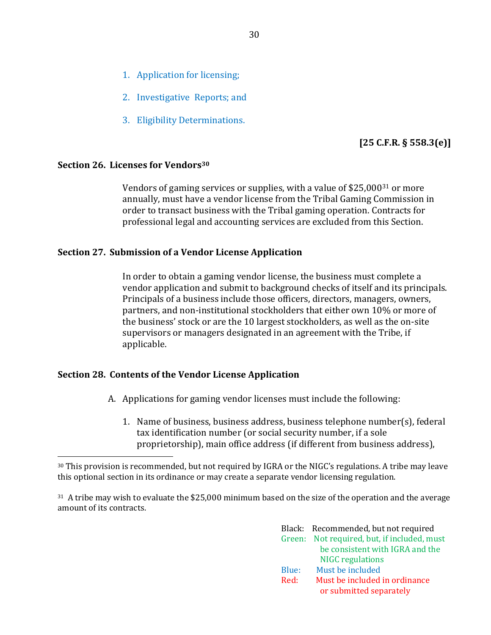- 1. Application for licensing;
- 2. Investigative Reports; and
- 3. Eligibility Determinations.

### **[25 C.F.R. § 558.3(e)]**

#### <span id="page-32-0"></span>**Section 26. Licenses for Vendors<sup>30</sup>**

l

Vendors of gaming services or supplies, with a value of  $$25,000^{31}$  or more annually, must have a vendor license from the Tribal Gaming Commission in order to transact business with the Tribal gaming operation. Contracts for professional legal and accounting services are excluded from this Section.

#### <span id="page-32-1"></span>**Section 27. Submission of a Vendor License Application**

In order to obtain a gaming vendor license, the business must complete a vendor application and submit to background checks of itself and its principals. Principals of a business include those officers, directors, managers, owners, partners, and non-institutional stockholders that either own 10% or more of the business' stock or are the 10 largest stockholders, as well as the on-site supervisors or managers designated in an agreement with the Tribe, if applicable.

### <span id="page-32-2"></span>**Section 28. Contents of the Vendor License Application**

- A. Applications for gaming vendor licenses must include the following:
	- 1. Name of business, business address, business telephone number(s), federal tax identification number (or social security number, if a sole proprietorship), main office address (if different from business address),

<sup>31</sup> A tribe may wish to evaluate the \$25,000 minimum based on the size of the operation and the average amount of its contracts.

|       | Black: Recommended, but not required        |
|-------|---------------------------------------------|
|       | Green: Not required, but, if included, must |
|       | be consistent with IGRA and the             |
|       | <b>NIGC</b> regulations                     |
| Blue: | Must be included                            |
| Red:  | Must be included in ordinance               |
|       | or submitted separately                     |

<sup>30</sup> This provision is recommended, but not required by IGRA or the NIGC's regulations. A tribe may leave this optional section in its ordinance or may create a separate vendor licensing regulation.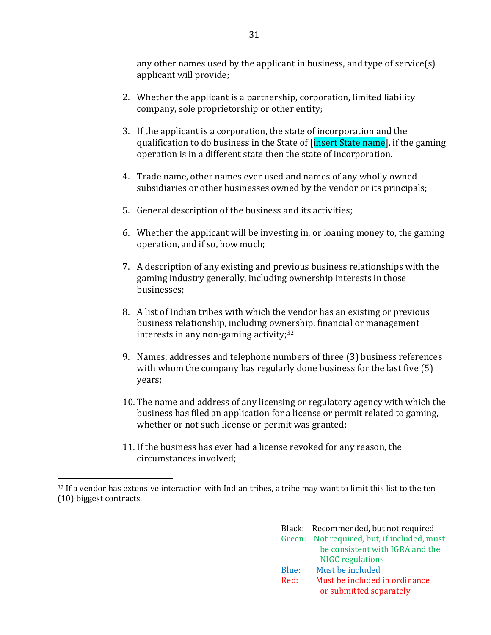any other names used by the applicant in business, and type of service(s) applicant will provide;

- 2. Whether the applicant is a partnership, corporation, limited liability company, sole proprietorship or other entity;
- 3. If the applicant is a corporation, the state of incorporation and the qualification to do business in the State of *[insert State name]*, if the gaming operation is in a different state then the state of incorporation.
- 4. Trade name, other names ever used and names of any wholly owned subsidiaries or other businesses owned by the vendor or its principals;
- 5. General description of the business and its activities;
- 6. Whether the applicant will be investing in, or loaning money to, the gaming operation, and if so, how much;
- 7. A description of any existing and previous business relationships with the gaming industry generally, including ownership interests in those businesses;
- 8. A list of Indian tribes with which the vendor has an existing or previous business relationship, including ownership, financial or management interests in any non-gaming activity;<sup>32</sup>
- 9. Names, addresses and telephone numbers of three (3) business references with whom the company has regularly done business for the last five (5) years;
- 10. The name and address of any licensing or regulatory agency with which the business has filed an application for a license or permit related to gaming, whether or not such license or permit was granted;
- 11. If the business has ever had a license revoked for any reason, the circumstances involved;

 $\overline{a}$ 

|       | Black: Recommended, but not required        |
|-------|---------------------------------------------|
|       | Green: Not required, but, if included, must |
|       | be consistent with IGRA and the             |
|       | <b>NIGC</b> regulations                     |
| Blue: | Must be included                            |
| Red:  | Must be included in ordinance               |
|       | or submitted separately                     |

<sup>&</sup>lt;sup>32</sup> If a vendor has extensive interaction with Indian tribes, a tribe may want to limit this list to the ten (10) biggest contracts.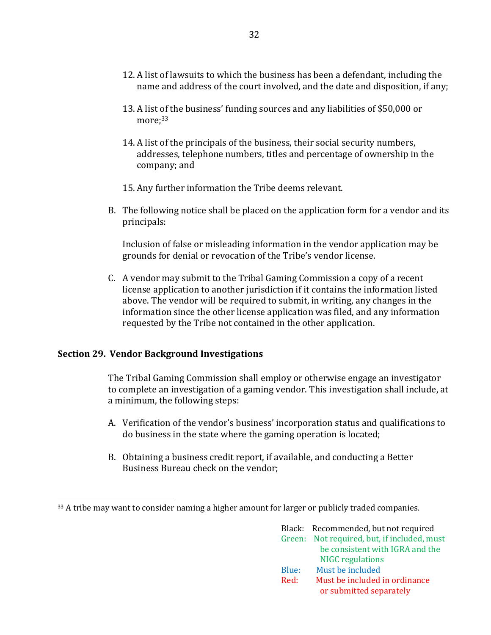- 12. A list of lawsuits to which the business has been a defendant, including the name and address of the court involved, and the date and disposition, if any;
- 13. A list of the business' funding sources and any liabilities of \$50,000 or more: 33
- 14. A list of the principals of the business, their social security numbers, addresses, telephone numbers, titles and percentage of ownership in the company; and
- 15. Any further information the Tribe deems relevant.
- B. The following notice shall be placed on the application form for a vendor and its principals:

Inclusion of false or misleading information in the vendor application may be grounds for denial or revocation of the Tribe's vendor license.

C. A vendor may submit to the Tribal Gaming Commission a copy of a recent license application to another jurisdiction if it contains the information listed above. The vendor will be required to submit, in writing, any changes in the information since the other license application was filed, and any information requested by the Tribe not contained in the other application.

### <span id="page-34-0"></span>**Section 29. Vendor Background Investigations**

 $\overline{a}$ 

The Tribal Gaming Commission shall employ or otherwise engage an investigator to complete an investigation of a gaming vendor. This investigation shall include, at a minimum, the following steps:

- A. Verification of the vendor's business' incorporation status and qualifications to do business in the state where the gaming operation is located;
- B. Obtaining a business credit report, if available, and conducting a Better Business Bureau check on the vendor;

<sup>&</sup>lt;sup>33</sup> A tribe may want to consider naming a higher amount for larger or publicly traded companies.

|       | Black: Recommended, but not required        |
|-------|---------------------------------------------|
|       | Green: Not required, but, if included, must |
|       | be consistent with IGRA and the             |
|       | <b>NIGC</b> regulations                     |
| Blue: | Must be included                            |
| Red:  | Must be included in ordinance               |
|       | or submitted separately                     |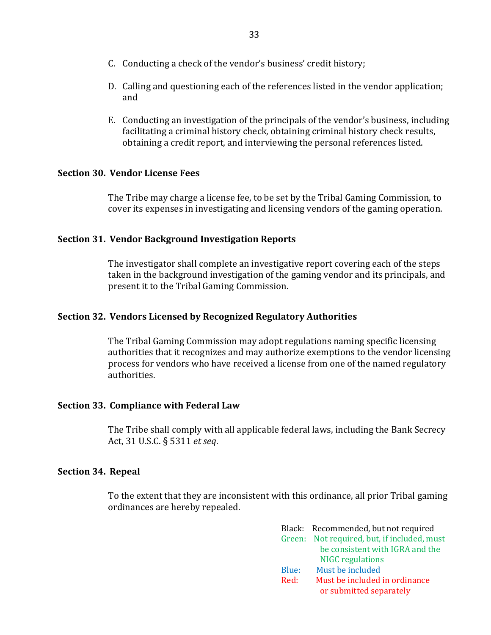- C. Conducting a check of the vendor's business' credit history;
- D. Calling and questioning each of the references listed in the vendor application; and
- E. Conducting an investigation of the principals of the vendor's business, including facilitating a criminal history check, obtaining criminal history check results, obtaining a credit report, and interviewing the personal references listed.

### <span id="page-35-0"></span>**Section 30. Vendor License Fees**

The Tribe may charge a license fee, to be set by the Tribal Gaming Commission, to cover its expenses in investigating and licensing vendors of the gaming operation.

#### <span id="page-35-1"></span>**Section 31. Vendor Background Investigation Reports**

The investigator shall complete an investigative report covering each of the steps taken in the background investigation of the gaming vendor and its principals, and present it to the Tribal Gaming Commission.

#### <span id="page-35-2"></span>**Section 32. Vendors Licensed by Recognized Regulatory Authorities**

The Tribal Gaming Commission may adopt regulations naming specific licensing authorities that it recognizes and may authorize exemptions to the vendor licensing process for vendors who have received a license from one of the named regulatory authorities.

#### <span id="page-35-3"></span>**Section 33. Compliance with Federal Law**

The Tribe shall comply with all applicable federal laws, including the Bank Secrecy Act, 31 U.S.C. § 5311 *et seq*.

#### <span id="page-35-4"></span>**Section 34. Repeal**

To the extent that they are inconsistent with this ordinance, all prior Tribal gaming ordinances are hereby repealed.

|       | Black: Recommended, but not required        |
|-------|---------------------------------------------|
|       | Green: Not required, but, if included, must |
|       | be consistent with IGRA and the             |
|       | <b>NIGC</b> regulations                     |
| Blue: | Must be included                            |
| Red:  | Must be included in ordinance               |
|       | or submitted separately                     |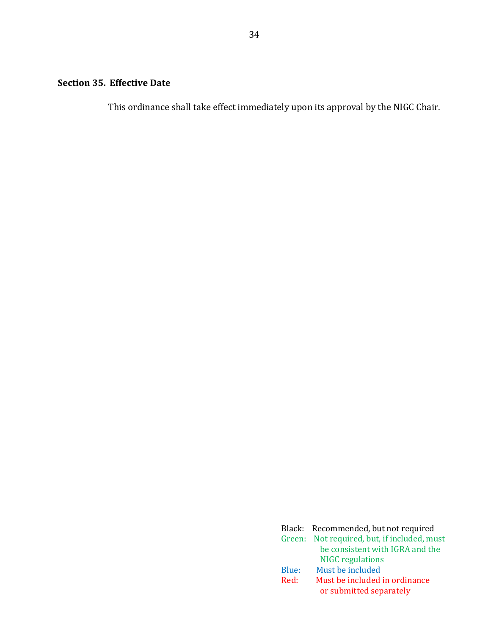# <span id="page-36-0"></span>**Section 35. Effective Date**

This ordinance shall take effect immediately upon its approval by the NIGC Chair.

|       | Black: Recommended, but not required        |
|-------|---------------------------------------------|
|       | Green: Not required, but, if included, must |
|       | be consistent with IGRA and the             |
|       | <b>NIGC</b> regulations                     |
| Blue: | Must be included                            |
| Red:  | Must be included in ordinance               |
|       | or submitted separately                     |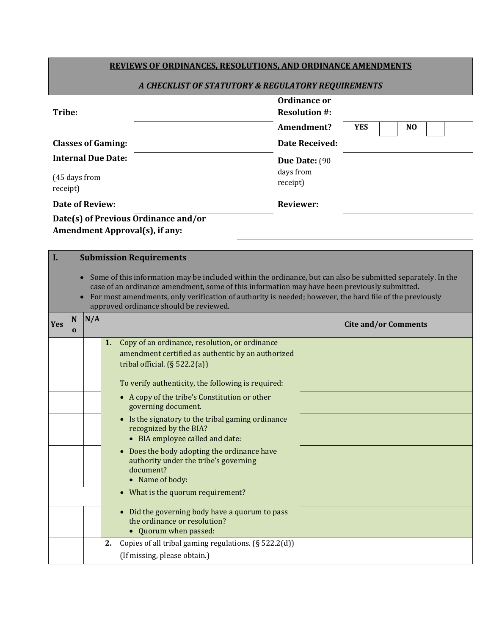|                                                    |                                                                                                                                                                                                                                                                                                                                                                  |                        | <b>REVIEWS OF ORDINANCES, RESOLUTIONS, AND ORDINANCE AMENDMENTS</b>                                          |                                      |                             |  |                |  |
|----------------------------------------------------|------------------------------------------------------------------------------------------------------------------------------------------------------------------------------------------------------------------------------------------------------------------------------------------------------------------------------------------------------------------|------------------------|--------------------------------------------------------------------------------------------------------------|--------------------------------------|-----------------------------|--|----------------|--|
| A CHECKLIST OF STATUTORY & REGULATORY REQUIREMENTS |                                                                                                                                                                                                                                                                                                                                                                  |                        |                                                                                                              |                                      |                             |  |                |  |
| Tribe:                                             |                                                                                                                                                                                                                                                                                                                                                                  |                        |                                                                                                              | Ordinance or<br><b>Resolution #:</b> |                             |  |                |  |
|                                                    |                                                                                                                                                                                                                                                                                                                                                                  |                        |                                                                                                              | Amendment?                           | <b>YES</b>                  |  | N <sub>O</sub> |  |
|                                                    |                                                                                                                                                                                                                                                                                                                                                                  |                        | <b>Classes of Gaming:</b>                                                                                    | <b>Date Received:</b>                |                             |  |                |  |
|                                                    |                                                                                                                                                                                                                                                                                                                                                                  |                        | <b>Internal Due Date:</b>                                                                                    | Due Date: (90                        |                             |  |                |  |
| (45 days from<br>receipt)                          |                                                                                                                                                                                                                                                                                                                                                                  |                        |                                                                                                              | days from<br>receipt)                |                             |  |                |  |
|                                                    |                                                                                                                                                                                                                                                                                                                                                                  | <b>Date of Review:</b> |                                                                                                              | <b>Reviewer:</b>                     |                             |  |                |  |
|                                                    |                                                                                                                                                                                                                                                                                                                                                                  |                        | Date(s) of Previous Ordinance and/or                                                                         |                                      |                             |  |                |  |
|                                                    |                                                                                                                                                                                                                                                                                                                                                                  |                        | <b>Amendment Approval(s), if any:</b>                                                                        |                                      |                             |  |                |  |
| I.                                                 |                                                                                                                                                                                                                                                                                                                                                                  |                        | <b>Submission Requirements</b>                                                                               |                                      |                             |  |                |  |
|                                                    | Some of this information may be included within the ordinance, but can also be submitted separately. In the<br>case of an ordinance amendment, some of this information may have been previously submitted.<br>For most amendments, only verification of authority is needed; however, the hard file of the previously<br>approved ordinance should be reviewed. |                        |                                                                                                              |                                      |                             |  |                |  |
|                                                    |                                                                                                                                                                                                                                                                                                                                                                  |                        |                                                                                                              |                                      |                             |  |                |  |
| <b>Yes</b>                                         | N<br>$\mathbf{0}$                                                                                                                                                                                                                                                                                                                                                | N/A                    |                                                                                                              |                                      | <b>Cite and/or Comments</b> |  |                |  |
|                                                    |                                                                                                                                                                                                                                                                                                                                                                  |                        | Copy of an ordinance, resolution, or ordinance<br>1.                                                         |                                      |                             |  |                |  |
|                                                    |                                                                                                                                                                                                                                                                                                                                                                  |                        | amendment certified as authentic by an authorized<br>tribal official. $(\S 522.2(a))$                        |                                      |                             |  |                |  |
|                                                    |                                                                                                                                                                                                                                                                                                                                                                  |                        | To verify authenticity, the following is required:                                                           |                                      |                             |  |                |  |
|                                                    |                                                                                                                                                                                                                                                                                                                                                                  |                        | • A copy of the tribe's Constitution or other<br>governing document.                                         |                                      |                             |  |                |  |
|                                                    |                                                                                                                                                                                                                                                                                                                                                                  |                        | • Is the signatory to the tribal gaming ordinance                                                            |                                      |                             |  |                |  |
|                                                    |                                                                                                                                                                                                                                                                                                                                                                  |                        | recognized by the BIA?<br>• BIA employee called and date:                                                    |                                      |                             |  |                |  |
|                                                    |                                                                                                                                                                                                                                                                                                                                                                  |                        | Does the body adopting the ordinance have<br>$\bullet$<br>authority under the tribe's governing<br>document? |                                      |                             |  |                |  |
|                                                    |                                                                                                                                                                                                                                                                                                                                                                  |                        | • Name of body:                                                                                              |                                      |                             |  |                |  |
|                                                    |                                                                                                                                                                                                                                                                                                                                                                  |                        | • What is the quorum requirement?                                                                            |                                      |                             |  |                |  |
|                                                    |                                                                                                                                                                                                                                                                                                                                                                  |                        | • Did the governing body have a quorum to pass<br>the ordinance or resolution?                               |                                      |                             |  |                |  |
|                                                    |                                                                                                                                                                                                                                                                                                                                                                  |                        | • Quorum when passed:<br>Copies of all tribal gaming regulations. (§ 522.2(d))<br>2.                         |                                      |                             |  |                |  |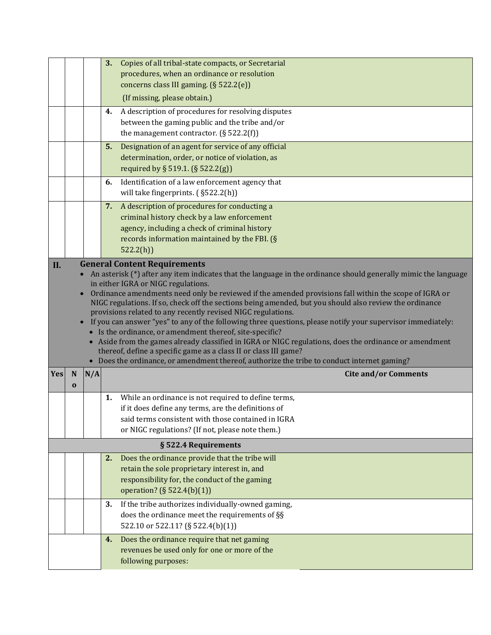|     |          |     | 3.<br>Copies of all tribal-state compacts, or Secretarial                                                                                                               |
|-----|----------|-----|-------------------------------------------------------------------------------------------------------------------------------------------------------------------------|
|     |          |     | procedures, when an ordinance or resolution                                                                                                                             |
|     |          |     | concerns class III gaming. (§ 522.2(e))                                                                                                                                 |
|     |          |     | (If missing, please obtain.)                                                                                                                                            |
|     |          |     | A description of procedures for resolving disputes<br>4.                                                                                                                |
|     |          |     | between the gaming public and the tribe and/or                                                                                                                          |
|     |          |     | the management contractor. $(\S 522.2(f))$                                                                                                                              |
|     |          |     | Designation of an agent for service of any official<br>5.                                                                                                               |
|     |          |     | determination, order, or notice of violation, as<br>required by § 519.1. (§ 522.2(g))                                                                                   |
|     |          |     | Identification of a law enforcement agency that                                                                                                                         |
|     |          |     | 6.<br>will take fingerprints. (§522.2(h))                                                                                                                               |
|     |          |     | A description of procedures for conducting a                                                                                                                            |
|     |          |     | 7.<br>criminal history check by a law enforcement                                                                                                                       |
|     |          |     | agency, including a check of criminal history                                                                                                                           |
|     |          |     | records information maintained by the FBI. (§                                                                                                                           |
|     |          |     | 522.2(h)                                                                                                                                                                |
| II. |          |     | <b>General Content Requirements</b>                                                                                                                                     |
|     |          |     | An asterisk (*) after any item indicates that the language in the ordinance should generally mimic the language                                                         |
|     |          |     | in either IGRA or NIGC regulations.                                                                                                                                     |
|     |          |     | Ordinance amendments need only be reviewed if the amended provisions fall within the scope of IGRA or                                                                   |
|     |          |     | NIGC regulations. If so, check off the sections being amended, but you should also review the ordinance<br>provisions related to any recently revised NIGC regulations. |
|     |          |     | If you can answer "yes" to any of the following three questions, please notify your supervisor immediately:                                                             |
|     |          |     | • Is the ordinance, or amendment thereof, site-specific?                                                                                                                |
|     |          |     | Aside from the games already classified in IGRA or NIGC regulations, does the ordinance or amendment                                                                    |
|     |          |     | thereof, define a specific game as a class II or class III game?<br>• Does the ordinance, or amendment thereof, authorize the tribe to conduct internet gaming?         |
| Yes | N        | N/A | <b>Cite and/or Comments</b>                                                                                                                                             |
|     | $\bf{0}$ |     |                                                                                                                                                                         |
|     |          |     | While an ordinance is not required to define terms,<br>1.                                                                                                               |
|     |          |     | if it does define any terms, are the definitions of                                                                                                                     |
|     |          |     | said terms consistent with those contained in IGRA                                                                                                                      |
|     |          |     | or NIGC regulations? (If not, please note them.)                                                                                                                        |
|     |          |     | § 522.4 Requirements                                                                                                                                                    |
|     |          |     | Does the ordinance provide that the tribe will<br>2.                                                                                                                    |
|     |          |     | retain the sole proprietary interest in, and                                                                                                                            |
|     |          |     | responsibility for, the conduct of the gaming                                                                                                                           |
|     |          |     | operation? (§ 522.4(b)(1))                                                                                                                                              |
|     |          |     | If the tribe authorizes individually-owned gaming,<br>3.                                                                                                                |
|     |          |     | does the ordinance meet the requirements of §§                                                                                                                          |
|     |          |     | 522.10 or 522.11? (§ 522.4(b)(1))                                                                                                                                       |
|     |          |     | Does the ordinance require that net gaming<br>4.                                                                                                                        |
|     |          |     | revenues be used only for one or more of the                                                                                                                            |
|     |          |     | following purposes:                                                                                                                                                     |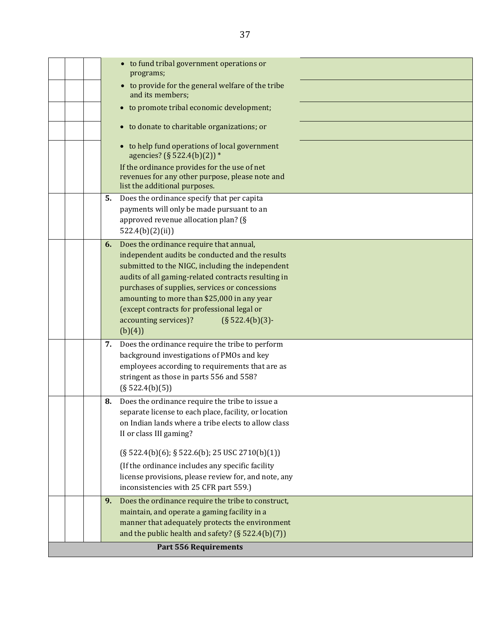|  |    | • to fund tribal government operations or<br>programs;                                                                                                                                                |
|--|----|-------------------------------------------------------------------------------------------------------------------------------------------------------------------------------------------------------|
|  |    | • to provide for the general welfare of the tribe<br>and its members;                                                                                                                                 |
|  |    | • to promote tribal economic development;                                                                                                                                                             |
|  |    | • to donate to charitable organizations; or                                                                                                                                                           |
|  |    | • to help fund operations of local government<br>agencies? (§ 522.4(b)(2)) *<br>If the ordinance provides for the use of net<br>revenues for any other purpose, please note and                       |
|  | 5. | list the additional purposes.<br>Does the ordinance specify that per capita                                                                                                                           |
|  |    | payments will only be made pursuant to an<br>approved revenue allocation plan? (§                                                                                                                     |
|  |    | 522.4(b)(2)(ii)                                                                                                                                                                                       |
|  | 6. | Does the ordinance require that annual,<br>independent audits be conducted and the results<br>submitted to the NIGC, including the independent<br>audits of all gaming-related contracts resulting in |
|  |    | purchases of supplies, services or concessions                                                                                                                                                        |
|  |    | amounting to more than \$25,000 in any year<br>(except contracts for professional legal or                                                                                                            |
|  |    | accounting services)?<br>$(S 522.4(b)(3)$ -<br>(b)(4))                                                                                                                                                |
|  | 7. | Does the ordinance require the tribe to perform<br>background investigations of PMOs and key                                                                                                          |
|  |    | employees according to requirements that are as                                                                                                                                                       |
|  |    | stringent as those in parts 556 and 558?<br>$(\S 522.4(b)(5))$                                                                                                                                        |
|  | 8. | Does the ordinance require the tribe to issue a                                                                                                                                                       |
|  |    | separate license to each place, facility, or location<br>on Indian lands where a tribe elects to allow class                                                                                          |
|  |    | II or class III gaming?                                                                                                                                                                               |
|  |    | (§ 522.4(b)(6); § 522.6(b); 25 USC 2710(b)(1))                                                                                                                                                        |
|  |    | (If the ordinance includes any specific facility<br>license provisions, please review for, and note, any                                                                                              |
|  |    | inconsistencies with 25 CFR part 559.)                                                                                                                                                                |
|  | 9. | Does the ordinance require the tribe to construct,<br>maintain, and operate a gaming facility in a                                                                                                    |
|  |    | manner that adequately protects the environment                                                                                                                                                       |
|  |    | and the public health and safety? (§ $522.4(b)(7)$ )                                                                                                                                                  |
|  |    | <b>Part 556 Requirements</b>                                                                                                                                                                          |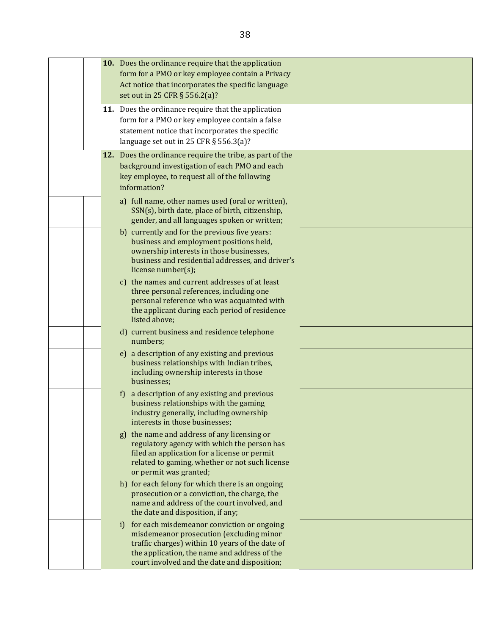| 10. Does the ordinance require that the application<br>form for a PMO or key employee contain a Privacy<br>Act notice that incorporates the specific language<br>set out in 25 CFR § 556.2(a)?<br>11. Does the ordinance require that the application     |
|-----------------------------------------------------------------------------------------------------------------------------------------------------------------------------------------------------------------------------------------------------------|
| form for a PMO or key employee contain a false<br>statement notice that incorporates the specific<br>language set out in 25 CFR $\S$ 556.3(a)?                                                                                                            |
| 12. Does the ordinance require the tribe, as part of the<br>background investigation of each PMO and each<br>key employee, to request all of the following<br>information?                                                                                |
| a) full name, other names used (oral or written),<br>SSN(s), birth date, place of birth, citizenship,<br>gender, and all languages spoken or written;                                                                                                     |
| b) currently and for the previous five years:<br>business and employment positions held,<br>ownership interests in those businesses,<br>business and residential addresses, and driver's<br>license number(s);                                            |
| c) the names and current addresses of at least<br>three personal references, including one<br>personal reference who was acquainted with<br>the applicant during each period of residence<br>listed above;                                                |
| d) current business and residence telephone<br>numbers;                                                                                                                                                                                                   |
| e) a description of any existing and previous<br>business relationships with Indian tribes,<br>including ownership interests in those<br>businesses;                                                                                                      |
| a description of any existing and previous<br>f<br>business relationships with the gaming<br>industry generally, including ownership<br>interests in those businesses;                                                                                    |
| the name and address of any licensing or<br>g)<br>regulatory agency with which the person has<br>filed an application for a license or permit<br>related to gaming, whether or not such license<br>or permit was granted;                                 |
| h) for each felony for which there is an ongoing<br>prosecution or a conviction, the charge, the<br>name and address of the court involved, and<br>the date and disposition, if any;                                                                      |
| for each misdemeanor conviction or ongoing<br>$\mathbf{i}$<br>misdemeanor prosecution (excluding minor<br>traffic charges) within 10 years of the date of<br>the application, the name and address of the<br>court involved and the date and disposition; |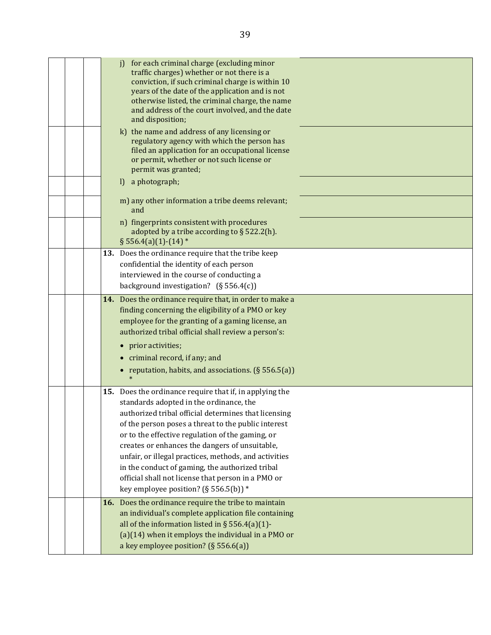|  | for each criminal charge (excluding minor<br>i<br>traffic charges) whether or not there is a<br>conviction, if such criminal charge is within 10<br>years of the date of the application and is not<br>otherwise listed, the criminal charge, the name<br>and address of the court involved, and the date<br>and disposition;                                                                                                                                                                                                      |  |
|--|------------------------------------------------------------------------------------------------------------------------------------------------------------------------------------------------------------------------------------------------------------------------------------------------------------------------------------------------------------------------------------------------------------------------------------------------------------------------------------------------------------------------------------|--|
|  | k) the name and address of any licensing or<br>regulatory agency with which the person has<br>filed an application for an occupational license<br>or permit, whether or not such license or<br>permit was granted;                                                                                                                                                                                                                                                                                                                 |  |
|  | a photograph;<br>$\mathbf{I}$                                                                                                                                                                                                                                                                                                                                                                                                                                                                                                      |  |
|  | m) any other information a tribe deems relevant;<br>and                                                                                                                                                                                                                                                                                                                                                                                                                                                                            |  |
|  | n) fingerprints consistent with procedures<br>adopted by a tribe according to $\S$ 522.2(h).<br>$§ 556.4(a)(1)-(14)$                                                                                                                                                                                                                                                                                                                                                                                                               |  |
|  | 13. Does the ordinance require that the tribe keep<br>confidential the identity of each person<br>interviewed in the course of conducting a<br>background investigation? $(S 556.4(c))$                                                                                                                                                                                                                                                                                                                                            |  |
|  | 14. Does the ordinance require that, in order to make a<br>finding concerning the eligibility of a PMO or key<br>employee for the granting of a gaming license, an<br>authorized tribal official shall review a person's:<br>• prior activities;<br>• criminal record, if any; and<br>• reputation, habits, and associations. $(\S 556.5(a))$                                                                                                                                                                                      |  |
|  | 15. Does the ordinance require that if, in applying the<br>standards adopted in the ordinance, the<br>authorized tribal official determines that licensing<br>of the person poses a threat to the public interest<br>or to the effective regulation of the gaming, or<br>creates or enhances the dangers of unsuitable,<br>unfair, or illegal practices, methods, and activities<br>in the conduct of gaming, the authorized tribal<br>official shall not license that person in a PMO or<br>key employee position? (§ 556.5(b)) * |  |
|  | 16. Does the ordinance require the tribe to maintain<br>an individual's complete application file containing<br>all of the information listed in § 556.4(a)(1)-<br>$(a)(14)$ when it employs the individual in a PMO or<br>a key employee position? (§ 556.6(a))                                                                                                                                                                                                                                                                   |  |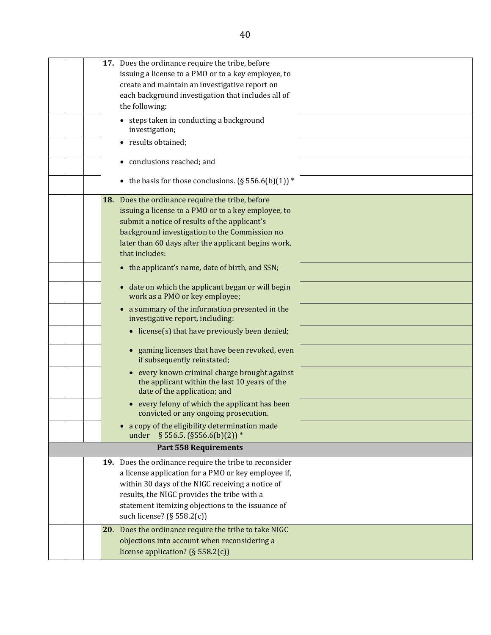|  | 17. Does the ordinance require the tribe, before                                                                                          |  |
|--|-------------------------------------------------------------------------------------------------------------------------------------------|--|
|  | issuing a license to a PMO or to a key employee, to                                                                                       |  |
|  | create and maintain an investigative report on                                                                                            |  |
|  | each background investigation that includes all of                                                                                        |  |
|  | the following:                                                                                                                            |  |
|  | • steps taken in conducting a background<br>investigation;                                                                                |  |
|  | • results obtained;                                                                                                                       |  |
|  | • conclusions reached; and                                                                                                                |  |
|  | • the basis for those conclusions. $(\S 556.6(b)(1))^*$                                                                                   |  |
|  | 18. Does the ordinance require the tribe, before                                                                                          |  |
|  | issuing a license to a PMO or to a key employee, to                                                                                       |  |
|  | submit a notice of results of the applicant's                                                                                             |  |
|  | background investigation to the Commission no                                                                                             |  |
|  | later than 60 days after the applicant begins work,                                                                                       |  |
|  | that includes:                                                                                                                            |  |
|  | • the applicant's name, date of birth, and SSN;                                                                                           |  |
|  | • date on which the applicant began or will begin<br>work as a PMO or key employee;                                                       |  |
|  | • a summary of the information presented in the<br>investigative report, including:                                                       |  |
|  | • license(s) that have previously been denied;                                                                                            |  |
|  | gaming licenses that have been revoked, even<br>$\bullet$<br>if subsequently reinstated;                                                  |  |
|  | every known criminal charge brought against<br>$\bullet$<br>the applicant within the last 10 years of the<br>date of the application; and |  |
|  | every felony of which the applicant has been<br>convicted or any ongoing prosecution.                                                     |  |
|  | • a copy of the eligibility determination made<br>§ 556.5. (§ 556.6(b)(2)) *<br>under                                                     |  |
|  | <b>Part 558 Requirements</b>                                                                                                              |  |
|  | 19. Does the ordinance require the tribe to reconsider                                                                                    |  |
|  | a license application for a PMO or key employee if,                                                                                       |  |
|  | within 30 days of the NIGC receiving a notice of                                                                                          |  |
|  | results, the NIGC provides the tribe with a                                                                                               |  |
|  | statement itemizing objections to the issuance of                                                                                         |  |
|  | such license? (§ 558.2(c))                                                                                                                |  |
|  | 20. Does the ordinance require the tribe to take NIGC                                                                                     |  |
|  | objections into account when reconsidering a                                                                                              |  |
|  | license application? ( $\S$ 558.2(c))                                                                                                     |  |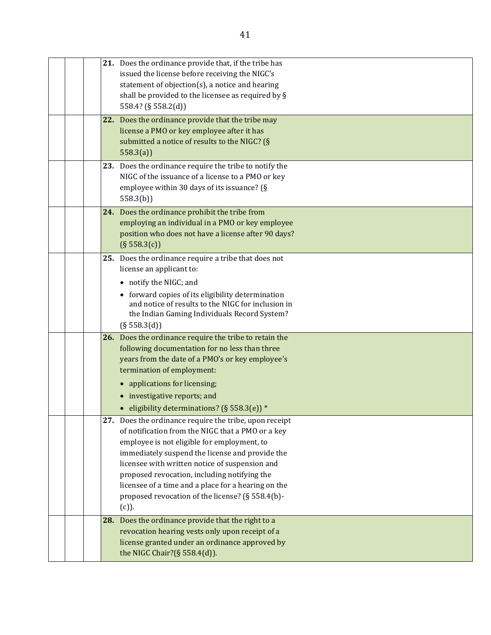|     | 21. Does the ordinance provide that, if the tribe has<br>issued the license before receiving the NIGC's<br>statement of objection(s), a notice and hearing<br>shall be provided to the licensee as required by §<br>558.4? (§ 558.2(d))                                                                                                                                                                                                |
|-----|----------------------------------------------------------------------------------------------------------------------------------------------------------------------------------------------------------------------------------------------------------------------------------------------------------------------------------------------------------------------------------------------------------------------------------------|
|     | 22. Does the ordinance provide that the tribe may<br>license a PMO or key employee after it has<br>submitted a notice of results to the NIGC? (§<br>558.3(a)                                                                                                                                                                                                                                                                           |
|     | 23. Does the ordinance require the tribe to notify the<br>NIGC of the issuance of a license to a PMO or key<br>employee within 30 days of its issuance? (§<br>558.3(b)                                                                                                                                                                                                                                                                 |
|     | 24. Does the ordinance prohibit the tribe from<br>employing an individual in a PMO or key employee<br>position who does not have a license after 90 days?<br>(S 558.3(c))                                                                                                                                                                                                                                                              |
|     | 25. Does the ordinance require a tribe that does not<br>license an applicant to:<br>• notify the NIGC; and<br>• forward copies of its eligibility determination<br>and notice of results to the NIGC for inclusion in<br>the Indian Gaming Individuals Record System?<br>(S 558.3(d))                                                                                                                                                  |
|     | 26. Does the ordinance require the tribe to retain the<br>following documentation for no less than three<br>years from the date of a PMO's or key employee's<br>termination of employment:<br>• applications for licensing;<br>• investigative reports; and<br>• eligibility determinations? (§ 558.3(e)) *                                                                                                                            |
|     | 27. Does the ordinance require the tribe, upon receipt<br>of notification from the NIGC that a PMO or a key<br>employee is not eligible for employment, to<br>immediately suspend the license and provide the<br>licensee with written notice of suspension and<br>proposed revocation, including notifying the<br>licensee of a time and a place for a hearing on the<br>proposed revocation of the license? (§ 558.4(b)-<br>$(c)$ ). |
| 28. | Does the ordinance provide that the right to a<br>revocation hearing vests only upon receipt of a<br>license granted under an ordinance approved by<br>the NIGC Chair?(§ 558.4(d)).                                                                                                                                                                                                                                                    |